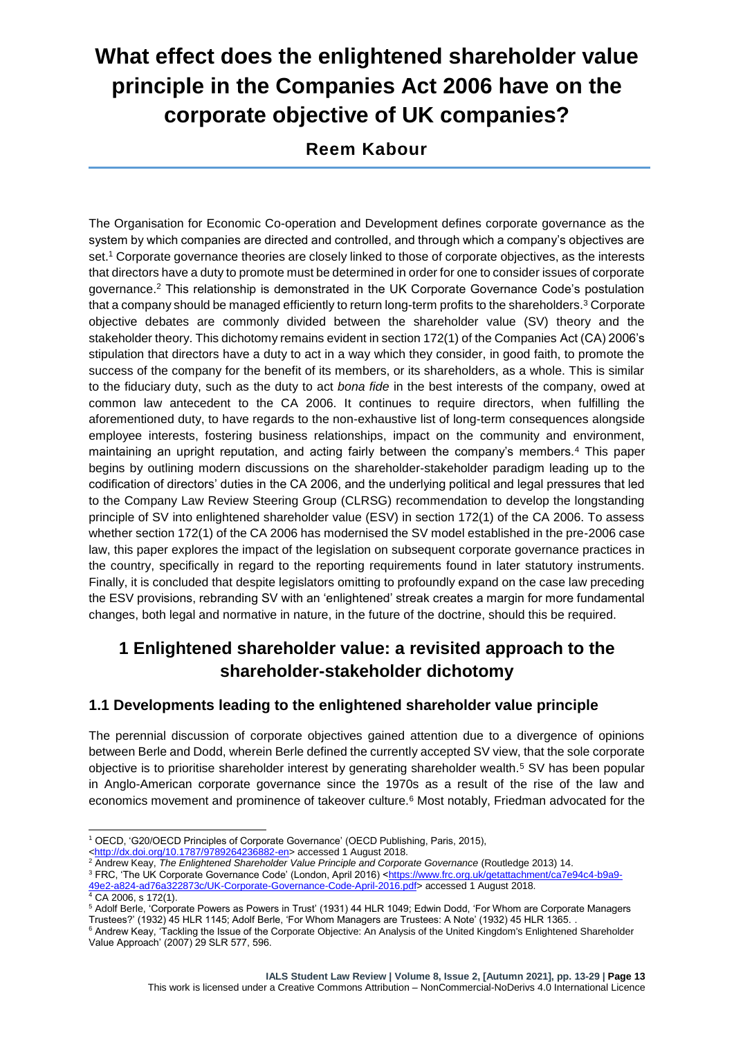# **What effect does the enlightened shareholder value principle in the Companies Act 2006 have on the corporate objective of UK companies?**

**Reem Kabour**

The Organisation for Economic Co-operation and Development defines corporate governance as the system by which companies are directed and controlled, and through which a company's objectives are set.<sup>1</sup> Corporate governance theories are closely linked to those of corporate objectives, as the interests that directors have a duty to promote must be determined in order for one to consider issues of corporate governance.<sup>2</sup> This relationship is demonstrated in the UK Corporate Governance Code's postulation that a company should be managed efficiently to return long-term profits to the shareholders.<sup>3</sup> Corporate objective debates are commonly divided between the shareholder value (SV) theory and the stakeholder theory. This dichotomy remains evident in section 172(1) of the Companies Act (CA) 2006's stipulation that directors have a duty to act in a way which they consider, in good faith, to promote the success of the company for the benefit of its members, or its shareholders, as a whole. This is similar to the fiduciary duty, such as the duty to act *bona fide* in the best interests of the company, owed at common law antecedent to the CA 2006. It continues to require directors, when fulfilling the aforementioned duty, to have regards to the non-exhaustive list of long-term consequences alongside employee interests, fostering business relationships, impact on the community and environment, maintaining an upright reputation, and acting fairly between the company's members.<sup>4</sup> This paper begins by outlining modern discussions on the shareholder-stakeholder paradigm leading up to the codification of directors' duties in the CA 2006, and the underlying political and legal pressures that led to the Company Law Review Steering Group (CLRSG) recommendation to develop the longstanding principle of SV into enlightened shareholder value (ESV) in section 172(1) of the CA 2006. To assess whether section 172(1) of the CA 2006 has modernised the SV model established in the pre-2006 case law, this paper explores the impact of the legislation on subsequent corporate governance practices in the country, specifically in regard to the reporting requirements found in later statutory instruments. Finally, it is concluded that despite legislators omitting to profoundly expand on the case law preceding the ESV provisions, rebranding SV with an 'enlightened' streak creates a margin for more fundamental changes, both legal and normative in nature, in the future of the doctrine, should this be required.

## **1 Enlightened shareholder value: a revisited approach to the shareholder-stakeholder dichotomy**

#### **1.1 Developments leading to the enlightened shareholder value principle**

The perennial discussion of corporate objectives gained attention due to a divergence of opinions between Berle and Dodd, wherein Berle defined the currently accepted SV view, that the sole corporate objective is to prioritise shareholder interest by generating shareholder wealth.<sup>5</sup> SV has been popular in Anglo-American corporate governance since the 1970s as a result of the rise of the law and economics movement and prominence of takeover culture.<sup>6</sup> Most notably, Friedman advocated for the

3 FRC, 'The UK Corporate Governance Code' (London, April 2016) [<https://www.frc.org.uk/getattachment/ca7e94c4-b9a9-](https://www.frc.org.uk/getattachment/ca7e94c4-b9a9-49e2-a824-ad76a322873c/UK-Corporate-Governance-Code-April-2016.pdf)49424-2016.pdf> accessed 1 August 2018.

<sup>-</sup><sup>1</sup> OECD, 'G20/OECD Principles of Corporate Governance' (OECD Publishing, Paris, 2015),

[<sup>&</sup>lt;http://dx.doi.org/10.1787/9789264236882-en>](http://dx.doi.org/10.1787/9789264236882-en) accessed 1 August 2018.

<sup>2</sup> Andrew Keay, *The Enlightened Shareholder Value Principle and Corporate Governance* (Routledge 2013) 14.

<sup>6</sup>a322873c/UK-Corporate-Governance-Code-April-2016.pdf> accessed 1 August 2018.  $4 \overline{CA}$  2006, s 172(1).

<sup>5</sup> Adolf Berle, 'Corporate Powers as Powers in Trust' (1931) 44 HLR 1049; Edwin Dodd, 'For Whom are Corporate Managers Trustees?' (1932) 45 HLR 1145; Adolf Berle, 'For Whom Managers are Trustees: A Note' (1932) 45 HLR 1365. .

<sup>&</sup>lt;sup>6</sup> Andrew Keay, 'Tackling the Issue of the Corporate Objective: An Analysis of the United Kingdom's Enlightened Shareholder Value Approach' (2007) 29 SLR 577, 596.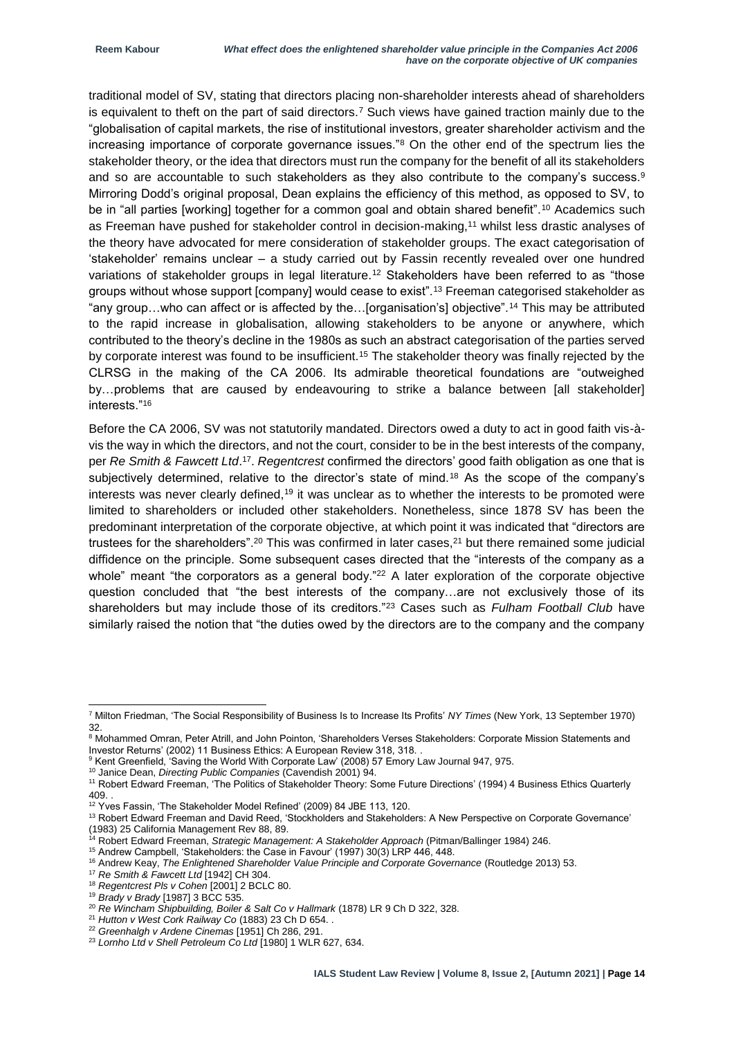traditional model of SV, stating that directors placing non-shareholder interests ahead of shareholders is equivalent to theft on the part of said directors.<sup>7</sup> Such views have gained traction mainly due to the "globalisation of capital markets, the rise of institutional investors, greater shareholder activism and the increasing importance of corporate governance issues."<sup>8</sup> On the other end of the spectrum lies the stakeholder theory, or the idea that directors must run the company for the benefit of all its stakeholders and so are accountable to such stakeholders as they also contribute to the company's success.<sup>9</sup> Mirroring Dodd's original proposal, Dean explains the efficiency of this method, as opposed to SV, to be in "all parties [working] together for a common goal and obtain shared benefit".<sup>10</sup> Academics such as Freeman have pushed for stakeholder control in decision-making,<sup>11</sup> whilst less drastic analyses of the theory have advocated for mere consideration of stakeholder groups. The exact categorisation of 'stakeholder' remains unclear – a study carried out by Fassin recently revealed over one hundred variations of stakeholder groups in legal literature.<sup>12</sup> Stakeholders have been referred to as "those groups without whose support [company] would cease to exist".<sup>13</sup> Freeman categorised stakeholder as "any group…who can affect or is affected by the…[organisation's] objective".<sup>14</sup> This may be attributed to the rapid increase in globalisation, allowing stakeholders to be anyone or anywhere, which contributed to the theory's decline in the 1980s as such an abstract categorisation of the parties served by corporate interest was found to be insufficient.<sup>15</sup> The stakeholder theory was finally rejected by the CLRSG in the making of the CA 2006. Its admirable theoretical foundations are "outweighed by…problems that are caused by endeavouring to strike a balance between [all stakeholder] interests."<sup>16</sup>

Before the CA 2006, SV was not statutorily mandated. Directors owed a duty to act in good faith vis-àvis the way in which the directors, and not the court, consider to be in the best interests of the company, per *Re Smith & Fawcett Ltd.*<sup>17</sup>. *Regentcrest* confirmed the directors' good faith obligation as one that is subjectively determined, relative to the director's state of mind.<sup>18</sup> As the scope of the company's interests was never clearly defined,<sup>19</sup> it was unclear as to whether the interests to be promoted were limited to shareholders or included other stakeholders. Nonetheless, since 1878 SV has been the predominant interpretation of the corporate objective, at which point it was indicated that "directors are trustees for the shareholders".<sup>20</sup> This was confirmed in later cases,<sup>21</sup> but there remained some judicial diffidence on the principle. Some subsequent cases directed that the "interests of the company as a whole" meant "the corporators as a general body."<sup>22</sup> A later exploration of the corporate objective question concluded that "the best interests of the company…are not exclusively those of its shareholders but may include those of its creditors."<sup>23</sup> Cases such as *Fulham Football Club* have similarly raised the notion that "the duties owed by the directors are to the company and the company

1

<sup>7</sup> Milton Friedman, 'The Social Responsibility of Business Is to Increase Its Profits' *NY Times* (New York, 13 September 1970) 32.

<sup>8</sup> Mohammed Omran, Peter Atrill, and John Pointon, 'Shareholders Verses Stakeholders: Corporate Mission Statements and Investor Returns' (2002) 11 Business Ethics: A European Review 318, 318. .

<sup>&</sup>lt;sup>9</sup> Kent Greenfield, 'Saving the World With Corporate Law' (2008) 57 Emory Law Journal 947, 975.

<sup>10</sup> Janice Dean, *Directing Public Companies* (Cavendish 2001) 94.

<sup>11</sup> Robert Edward Freeman, 'The Politics of Stakeholder Theory: Some Future Directions' (1994) 4 Business Ethics Quarterly 409. .

<sup>12</sup> Yves Fassin, 'The Stakeholder Model Refined' (2009) 84 JBE 113, 120.

<sup>13</sup> Robert Edward Freeman and David Reed, 'Stockholders and Stakeholders: A New Perspective on Corporate Governance' (1983) 25 California Management Rev 88, 89.

<sup>14</sup> Robert Edward Freeman, *Strategic Management: A Stakeholder Approach* (Pitman/Ballinger 1984) 246.

<sup>15</sup> Andrew Campbell, 'Stakeholders: the Case in Favour' (1997) 30(3) LRP 446, 448.

<sup>&</sup>lt;sup>16</sup> Andrew Keay, *The Enlightened Shareholder Value Principle and Corporate Governance (Routledge 2013) 53.* 

<sup>17</sup> *Re Smith & Fawcett Ltd* [1942] CH 304.

<sup>18</sup> *Regentcrest Pls v Cohen* [2001] 2 BCLC 80.

<sup>19</sup> *Brady v Brady* [1987] 3 BCC 535.

<sup>20</sup> *Re Wincham Shipbuilding, Boiler & Salt Co v Hallmark* (1878) LR 9 Ch D 322, 328.

<sup>21</sup> *Hutton v West Cork Railway Co* (1883) 23 Ch D 654. .

<sup>22</sup> *Greenhalgh v Ardene Cinemas* [1951] Ch 286, 291.

<sup>23</sup> *Lornho Ltd v Shell Petroleum Co Ltd* [1980] 1 WLR 627, 634.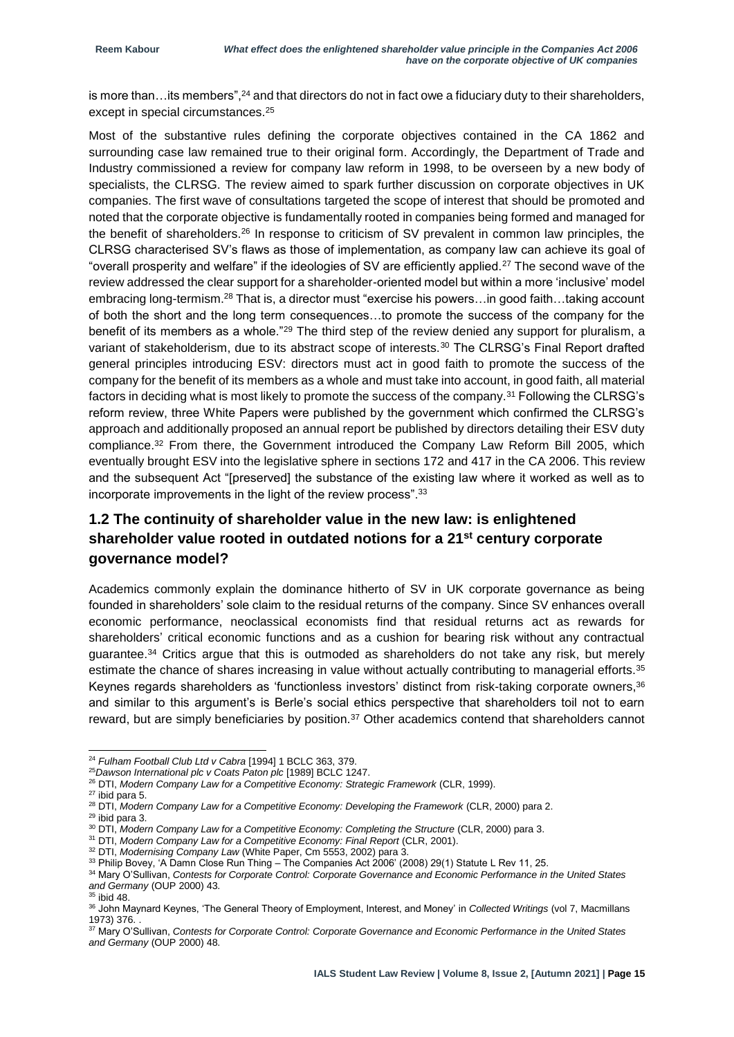is more than... its members",  $^{24}$  and that directors do not in fact owe a fiduciary duty to their shareholders, except in special circumstances.<sup>25</sup>

Most of the substantive rules defining the corporate objectives contained in the CA 1862 and surrounding case law remained true to their original form. Accordingly, the Department of Trade and Industry commissioned a review for company law reform in 1998, to be overseen by a new body of specialists, the CLRSG. The review aimed to spark further discussion on corporate objectives in UK companies. The first wave of consultations targeted the scope of interest that should be promoted and noted that the corporate objective is fundamentally rooted in companies being formed and managed for the benefit of shareholders.<sup>26</sup> In response to criticism of SV prevalent in common law principles, the CLRSG characterised SV's flaws as those of implementation, as company law can achieve its goal of "overall prosperity and welfare" if the ideologies of SV are efficiently applied.<sup>27</sup> The second wave of the review addressed the clear support for a shareholder-oriented model but within a more 'inclusive' model embracing long-termism.<sup>28</sup> That is, a director must "exercise his powers…in good faith…taking account of both the short and the long term consequences…to promote the success of the company for the benefit of its members as a whole."<sup>29</sup> The third step of the review denied any support for pluralism, a variant of stakeholderism, due to its abstract scope of interests.<sup>30</sup> The CLRSG's Final Report drafted general principles introducing ESV: directors must act in good faith to promote the success of the company for the benefit of its members as a whole and must take into account, in good faith, all material factors in deciding what is most likely to promote the success of the company.<sup>31</sup> Following the CLRSG's reform review, three White Papers were published by the government which confirmed the CLRSG's approach and additionally proposed an annual report be published by directors detailing their ESV duty compliance.<sup>32</sup> From there, the Government introduced the Company Law Reform Bill 2005, which eventually brought ESV into the legislative sphere in sections 172 and 417 in the CA 2006. This review and the subsequent Act "[preserved] the substance of the existing law where it worked as well as to incorporate improvements in the light of the review process".<sup>33</sup>

#### **1.2 The continuity of shareholder value in the new law: is enlightened shareholder value rooted in outdated notions for a 21st century corporate governance model?**

Academics commonly explain the dominance hitherto of SV in UK corporate governance as being founded in shareholders' sole claim to the residual returns of the company. Since SV enhances overall economic performance, neoclassical economists find that residual returns act as rewards for shareholders' critical economic functions and as a cushion for bearing risk without any contractual guarantee.<sup>34</sup> Critics argue that this is outmoded as shareholders do not take any risk, but merely estimate the chance of shares increasing in value without actually contributing to managerial efforts.<sup>35</sup> Keynes regards shareholders as 'functionless investors' distinct from risk-taking corporate owners,<sup>36</sup> and similar to this argument's is Berle's social ethics perspective that shareholders toil not to earn reward, but are simply beneficiaries by position.<sup>37</sup> Other academics contend that shareholders cannot

<sup>1</sup> <sup>24</sup> *Fulham Football Club Ltd v Cabra* [1994] 1 BCLC 363, 379.

<sup>25</sup>*Dawson International plc v Coats Paton plc* [1989] BCLC 1247.

<sup>26</sup> DTI, *Modern Company Law for a Competitive Economy: Strategic Framework* (CLR, 1999).

<sup>27</sup> ibid para 5.

<sup>28</sup> DTI, *Modern Company Law for a Competitive Economy: Developing the Framework* (CLR, 2000) para 2.

<sup>29</sup> ibid para 3.

<sup>&</sup>lt;sup>30</sup> DTI, *Modern Company Law for a Competitive Economy: Completing the Structure* (CLR, 2000) para 3.

<sup>31</sup> DTI, *Modern Company Law for a Competitive Economy: Final Report* (CLR, 2001).

<sup>32</sup> DTI, *Modernising Company Law* (White Paper, Cm 5553, 2002) para 3.

<sup>33</sup> Philip Bovey, 'A Damn Close Run Thing – The Companies Act 2006' (2008) 29(1) Statute L Rev 11, 25.

<sup>34</sup> Mary O'Sullivan, *Contests for Corporate Control: Corporate Governance and Economic Performance in the United States and Germany* (OUP 2000) 43.

 $35$  ibid 48.

<sup>36</sup> John Maynard Keynes, 'The General Theory of Employment, Interest, and Money' in *Collected Writings* (vol 7, Macmillans 1973) 376. .

<sup>37</sup> Mary O'Sullivan, *Contests for Corporate Control: Corporate Governance and Economic Performance in the United States and Germany* (OUP 2000) 48.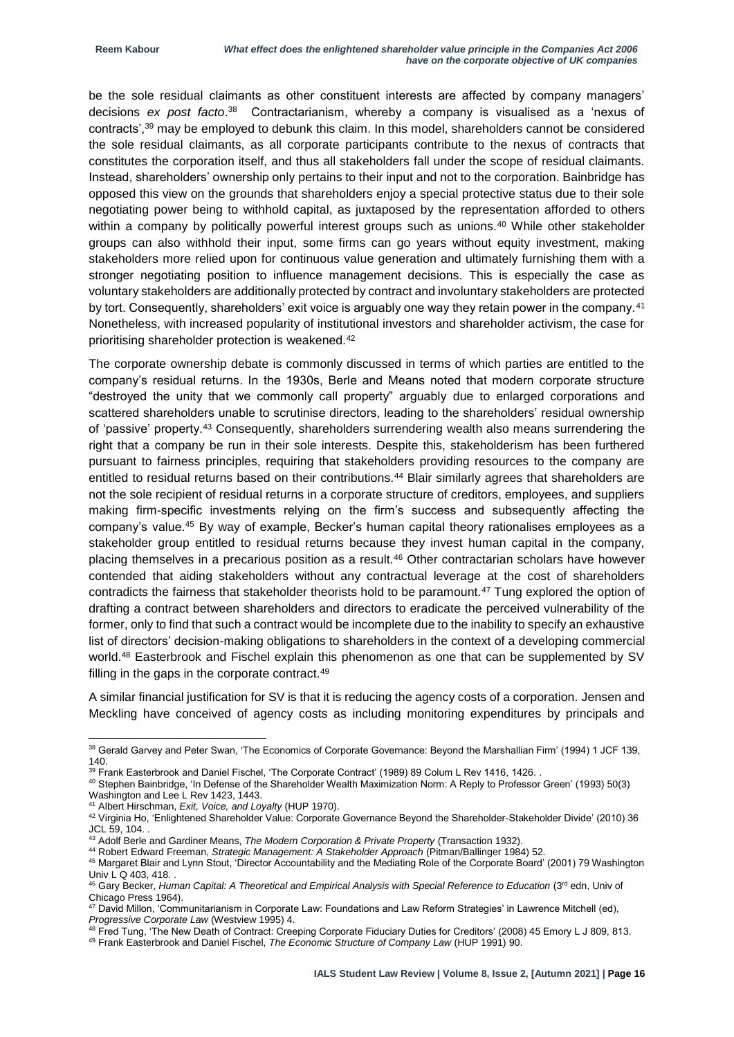be the sole residual claimants as other constituent interests are affected by company managers' decisions *ex post facto*. 38 Contractarianism, whereby a company is visualised as a 'nexus of contracts',<sup>39</sup> may be employed to debunk this claim. In this model, shareholders cannot be considered the sole residual claimants, as all corporate participants contribute to the nexus of contracts that constitutes the corporation itself, and thus all stakeholders fall under the scope of residual claimants. Instead, shareholders' ownership only pertains to their input and not to the corporation. Bainbridge has opposed this view on the grounds that shareholders enjoy a special protective status due to their sole negotiating power being to withhold capital, as juxtaposed by the representation afforded to others within a company by politically powerful interest groups such as unions.<sup>40</sup> While other stakeholder groups can also withhold their input, some firms can go years without equity investment, making stakeholders more relied upon for continuous value generation and ultimately furnishing them with a stronger negotiating position to influence management decisions. This is especially the case as voluntary stakeholders are additionally protected by contract and involuntary stakeholders are protected by tort. Consequently, shareholders' exit voice is arguably one way they retain power in the company.<sup>41</sup> Nonetheless, with increased popularity of institutional investors and shareholder activism, the case for prioritising shareholder protection is weakened.<sup>42</sup>

The corporate ownership debate is commonly discussed in terms of which parties are entitled to the company's residual returns. In the 1930s, Berle and Means noted that modern corporate structure "destroyed the unity that we commonly call property" arguably due to enlarged corporations and scattered shareholders unable to scrutinise directors, leading to the shareholders' residual ownership of 'passive' property.<sup>43</sup> Consequently, shareholders surrendering wealth also means surrendering the right that a company be run in their sole interests. Despite this, stakeholderism has been furthered pursuant to fairness principles, requiring that stakeholders providing resources to the company are entitled to residual returns based on their contributions.<sup>44</sup> Blair similarly agrees that shareholders are not the sole recipient of residual returns in a corporate structure of creditors, employees, and suppliers making firm-specific investments relying on the firm's success and subsequently affecting the company's value.<sup>45</sup> By way of example, Becker's human capital theory rationalises employees as a stakeholder group entitled to residual returns because they invest human capital in the company, placing themselves in a precarious position as a result.<sup>46</sup> Other contractarian scholars have however contended that aiding stakeholders without any contractual leverage at the cost of shareholders contradicts the fairness that stakeholder theorists hold to be paramount.<sup>47</sup> Tung explored the option of drafting a contract between shareholders and directors to eradicate the perceived vulnerability of the former, only to find that such a contract would be incomplete due to the inability to specify an exhaustive list of directors' decision-making obligations to shareholders in the context of a developing commercial world.<sup>48</sup> Easterbrook and Fischel explain this phenomenon as one that can be supplemented by SV filling in the gaps in the corporate contract.<sup>49</sup>

A similar financial justification for SV is that it is reducing the agency costs of a corporation. Jensen and Meckling have conceived of agency costs as including monitoring expenditures by principals and

<sup>&</sup>lt;sup>38</sup> Gerald Garvey and Peter Swan, 'The Economics of Corporate Governance: Beyond the Marshallian Firm' (1994) 1 JCF 139, 140.

<sup>&</sup>lt;sup>39</sup> Frank Easterbrook and Daniel Fischel, 'The Corporate Contract' (1989) 89 Colum L Rev 1416, 1426. .

<sup>40</sup> Stephen Bainbridge, 'In Defense of the Shareholder Wealth Maximization Norm: A Reply to Professor Green' (1993) 50(3) Washington and Lee L Rev 1423, 1443.

<sup>41</sup> Albert Hirschman, *Exit, Voice, and Loyalty* (HUP 1970).

<sup>42</sup> Virginia Ho, 'Enlightened Shareholder Value: Corporate Governance Beyond the Shareholder-Stakeholder Divide' (2010) 36 JCL 59, 104. .

<sup>43</sup> Adolf Berle and Gardiner Means, *The Modern Corporation & Private Property* (Transaction 1932).

<sup>44</sup> Robert Edward Freeman, *Strategic Management: A Stakeholder Approach* (Pitman/Ballinger 1984) 52. <sup>45</sup> Margaret Blair and Lynn Stout, 'Director Accountability and the Mediating Role of the Corporate Board' (2001) 79 Washington Univ L Q 403, 418. .

<sup>&</sup>lt;sup>46</sup> Gary Becker, *Human Capital: A Theoretical and Empirical Analysis with Special Reference to Education (3<sup>rd</sup> edn, Univ of* Chicago Press 1964).

<sup>47</sup> David Millon, 'Communitarianism in Corporate Law: Foundations and Law Reform Strategies' in Lawrence Mitchell (ed), *Progressive Corporate Law* (Westview 1995) 4.

<sup>48</sup> Fred Tung, 'The New Death of Contract: Creeping Corporate Fiduciary Duties for Creditors' (2008) 45 Emory L J 809, 813.

<sup>49</sup> Frank Easterbrook and Daniel Fischel, *The Economic Structure of Company Law* (HUP 1991) 90.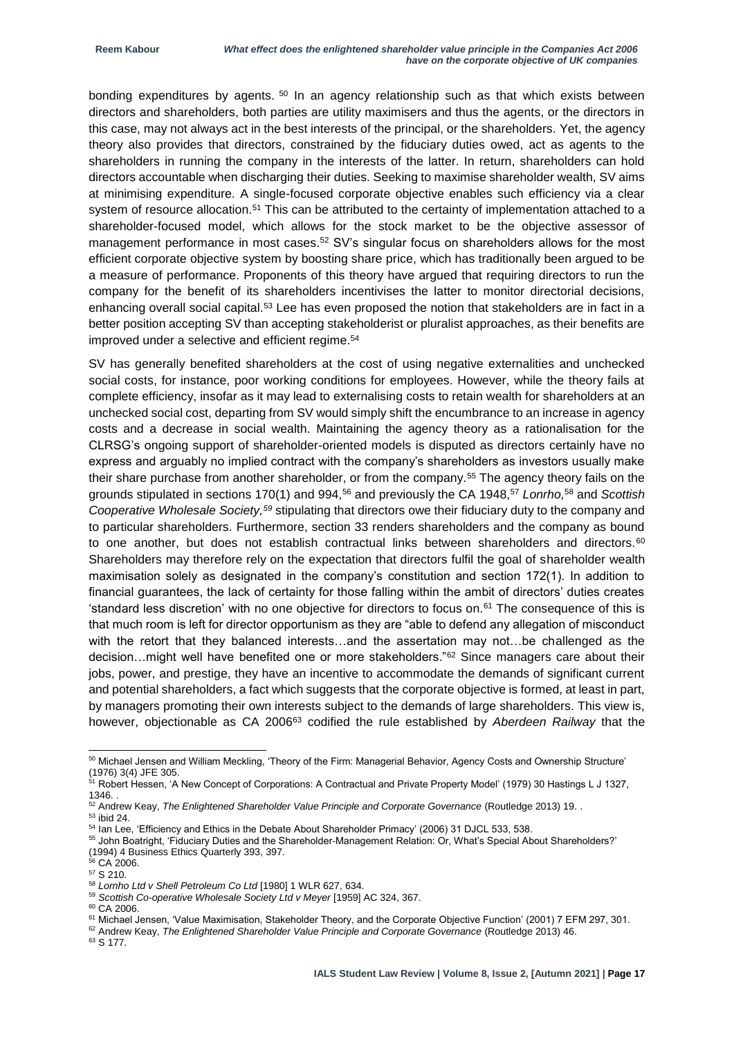bonding expenditures by agents. <sup>50</sup> In an agency relationship such as that which exists between directors and shareholders, both parties are utility maximisers and thus the agents, or the directors in this case, may not always act in the best interests of the principal, or the shareholders. Yet, the agency theory also provides that directors, constrained by the fiduciary duties owed, act as agents to the shareholders in running the company in the interests of the latter. In return, shareholders can hold directors accountable when discharging their duties. Seeking to maximise shareholder wealth, SV aims at minimising expenditure. A single-focused corporate objective enables such efficiency via a clear system of resource allocation.<sup>51</sup> This can be attributed to the certainty of implementation attached to a shareholder-focused model, which allows for the stock market to be the objective assessor of management performance in most cases.<sup>52</sup> SV's singular focus on shareholders allows for the most efficient corporate objective system by boosting share price, which has traditionally been argued to be a measure of performance. Proponents of this theory have argued that requiring directors to run the company for the benefit of its shareholders incentivises the latter to monitor directorial decisions, enhancing overall social capital.<sup>53</sup> Lee has even proposed the notion that stakeholders are in fact in a better position accepting SV than accepting stakeholderist or pluralist approaches, as their benefits are improved under a selective and efficient regime.<sup>54</sup>

SV has generally benefited shareholders at the cost of using negative externalities and unchecked social costs, for instance, poor working conditions for employees. However, while the theory fails at complete efficiency, insofar as it may lead to externalising costs to retain wealth for shareholders at an unchecked social cost, departing from SV would simply shift the encumbrance to an increase in agency costs and a decrease in social wealth. Maintaining the agency theory as a rationalisation for the CLRSG's ongoing support of shareholder-oriented models is disputed as directors certainly have no express and arguably no implied contract with the company's shareholders as investors usually make their share purchase from another shareholder, or from the company.<sup>55</sup> The agency theory fails on the grounds stipulated in sections 170(1) and 994,<sup>56</sup> and previously the CA 1948,<sup>57</sup> *Lonrho,*<sup>58</sup> and *Scottish Cooperative Wholesale Society,<sup>59</sup>* stipulating that directors owe their fiduciary duty to the company and to particular shareholders. Furthermore, section 33 renders shareholders and the company as bound to one another, but does not establish contractual links between shareholders and directors.<sup>60</sup> Shareholders may therefore rely on the expectation that directors fulfil the goal of shareholder wealth maximisation solely as designated in the company's constitution and section 172(1). In addition to financial guarantees, the lack of certainty for those falling within the ambit of directors' duties creates 'standard less discretion' with no one objective for directors to focus on.<sup>61</sup> The consequence of this is that much room is left for director opportunism as they are "able to defend any allegation of misconduct with the retort that they balanced interests…and the assertation may not…be challenged as the decision…might well have benefited one or more stakeholders."<sup>62</sup> Since managers care about their jobs, power, and prestige, they have an incentive to accommodate the demands of significant current and potential shareholders, a fact which suggests that the corporate objective is formed, at least in part, by managers promoting their own interests subject to the demands of large shareholders. This view is, however, objectionable as CA 2006<sup>63</sup> codified the rule established by *Aberdeen Railway* that the

1

<sup>60</sup> CA 2006.

<sup>63</sup> S 177.

 $50$  Michael Jensen and William Meckling, 'Theory of the Firm: Managerial Behavior, Agency Costs and Ownership Structure' (1976) 3(4) JFE 305.

<sup>&</sup>lt;sup>51</sup> Robert Hessen, 'A New Concept of Corporations: A Contractual and Private Property Model' (1979) 30 Hastings L J 1327,

<sup>1346. .</sup>

<sup>52</sup> Andrew Keay, *The Enlightened Shareholder Value Principle and Corporate Governance* (Routledge 2013) 19. .

<sup>53</sup> ibid 24.

<sup>54</sup> Ian Lee, 'Efficiency and Ethics in the Debate About Shareholder Primacy' (2006) 31 DJCL 533, 538.

<sup>55</sup> John Boatright, 'Fiduciary Duties and the Shareholder-Management Relation: Or, What's Special About Shareholders?' (1994) 4 Business Ethics Quarterly 393, 397.

 $66$  CA 2006.

 $57$  S 210.

<sup>58</sup> *Lornho Ltd v Shell Petroleum Co Ltd* [1980] 1 WLR 627, 634.

<sup>59</sup> *Scottish Co-operative Wholesale Society Ltd v Meyer* [1959] AC 324, 367.

<sup>61</sup> Michael Jensen, 'Value Maximisation, Stakeholder Theory, and the Corporate Objective Function' (2001) 7 EFM 297, 301.

<sup>62</sup> Andrew Keay, *The Enlightened Shareholder Value Principle and Corporate Governance* (Routledge 2013) 46.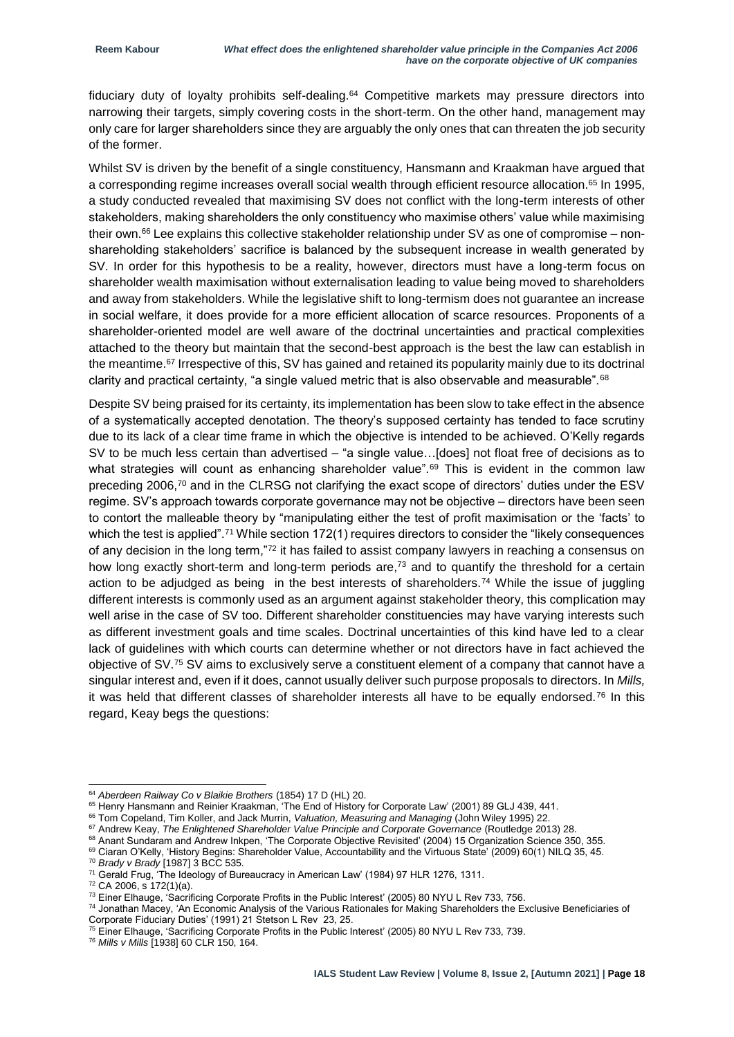fiduciary duty of loyalty prohibits self-dealing.<sup>64</sup> Competitive markets may pressure directors into narrowing their targets, simply covering costs in the short-term. On the other hand, management may only care for larger shareholders since they are arguably the only ones that can threaten the job security of the former.

Whilst SV is driven by the benefit of a single constituency, Hansmann and Kraakman have argued that a corresponding regime increases overall social wealth through efficient resource allocation.<sup>65</sup> In 1995, a study conducted revealed that maximising SV does not conflict with the long-term interests of other stakeholders, making shareholders the only constituency who maximise others' value while maximising their own.<sup>66</sup> Lee explains this collective stakeholder relationship under SV as one of compromise – nonshareholding stakeholders' sacrifice is balanced by the subsequent increase in wealth generated by SV. In order for this hypothesis to be a reality, however, directors must have a long-term focus on shareholder wealth maximisation without externalisation leading to value being moved to shareholders and away from stakeholders. While the legislative shift to long-termism does not guarantee an increase in social welfare, it does provide for a more efficient allocation of scarce resources. Proponents of a shareholder-oriented model are well aware of the doctrinal uncertainties and practical complexities attached to the theory but maintain that the second-best approach is the best the law can establish in the meantime.<sup>67</sup> Irrespective of this, SV has gained and retained its popularity mainly due to its doctrinal clarity and practical certainty, "a single valued metric that is also observable and measurable".<sup>68</sup>

Despite SV being praised for its certainty, its implementation has been slow to take effect in the absence of a systematically accepted denotation. The theory's supposed certainty has tended to face scrutiny due to its lack of a clear time frame in which the objective is intended to be achieved. O'Kelly regards SV to be much less certain than advertised – "a single value…[does] not float free of decisions as to what strategies will count as enhancing shareholder value".<sup>69</sup> This is evident in the common law preceding 2006,<sup>70</sup> and in the CLRSG not clarifying the exact scope of directors' duties under the ESV regime. SV's approach towards corporate governance may not be objective – directors have been seen to contort the malleable theory by "manipulating either the test of profit maximisation or the 'facts' to which the test is applied".<sup>71</sup> While section 172(1) requires directors to consider the "likely consequences of any decision in the long term,"<sup>72</sup> it has failed to assist company lawyers in reaching a consensus on how long exactly short-term and long-term periods are,<sup>73</sup> and to quantify the threshold for a certain action to be adjudged as being in the best interests of shareholders.<sup>74</sup> While the issue of juggling different interests is commonly used as an argument against stakeholder theory, this complication may well arise in the case of SV too. Different shareholder constituencies may have varying interests such as different investment goals and time scales. Doctrinal uncertainties of this kind have led to a clear lack of guidelines with which courts can determine whether or not directors have in fact achieved the objective of SV.<sup>75</sup> SV aims to exclusively serve a constituent element of a company that cannot have a singular interest and, even if it does, cannot usually deliver such purpose proposals to directors. In *Mills,*  it was held that different classes of shareholder interests all have to be equally endorsed.<sup>76</sup> In this regard, Keay begs the questions:

<sup>68</sup> Anant Sundaram and Andrew Inkpen, 'The Corporate Objective Revisited' (2004) 15 Organization Science 350, 355.

<sup>-</sup><sup>64</sup> *Aberdeen Railway Co v Blaikie Brothers* (1854) 17 D (HL) 20.

<sup>65</sup> Henry Hansmann and Reinier Kraakman, 'The End of History for Corporate Law' (2001) 89 GLJ 439, 441.

<sup>66</sup> Tom Copeland, Tim Koller, and Jack Murrin, *Valuation, Measuring and Managing* (John Wiley 1995) 22.

<sup>67</sup> Andrew Keay, *The Enlightened Shareholder Value Principle and Corporate Governance* (Routledge 2013) 28.

<sup>69</sup> Ciaran O'Kelly, 'History Begins: Shareholder Value, Accountability and the Virtuous State' (2009) 60(1) NILQ 35, 45. <sup>70</sup> *Brady v Brady* [1987] 3 BCC 535.

<sup>&</sup>lt;sup>71</sup> Gerald Frug, 'The Ideology of Bureaucracy in American Law' (1984) 97 HLR 1276, 1311.

 $72$  CA 2006, s  $172(1)(a)$ .

<sup>&</sup>lt;sup>73</sup> Einer Elhauge, 'Sacrificing Corporate Profits in the Public Interest' (2005) 80 NYU L Rev 733, 756.

<sup>74</sup> Jonathan Macey, 'An Economic Analysis of the Various Rationales for Making Shareholders the Exclusive Beneficiaries of Corporate Fiduciary Duties' (1991) 21 Stetson L Rev 23, 25.

 $^{75}$  Einer Elhauge, 'Sacrificing Corporate Profits in the Public Interest' (2005) 80 NYU L Rev 733, 739.

<sup>76</sup> *Mills v Mills* [1938] 60 CLR 150, 164.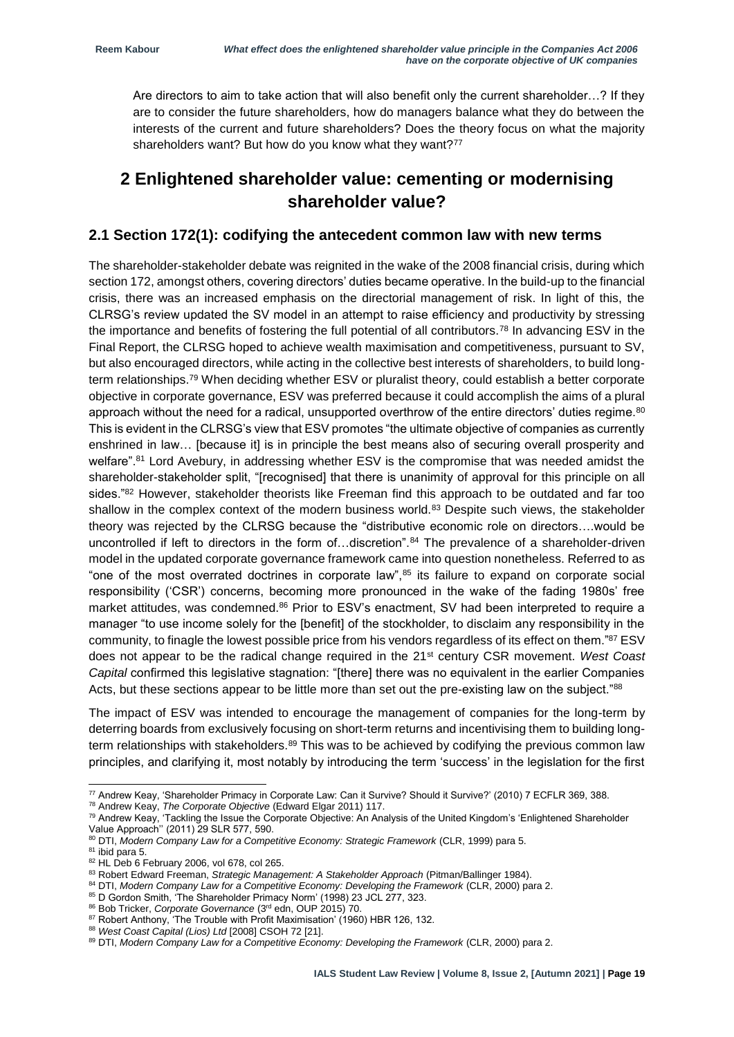Are directors to aim to take action that will also benefit only the current shareholder…? If they are to consider the future shareholders, how do managers balance what they do between the interests of the current and future shareholders? Does the theory focus on what the majority shareholders want? But how do you know what they want?<sup>77</sup>

### **2 Enlightened shareholder value: cementing or modernising shareholder value?**

#### **2.1 Section 172(1): codifying the antecedent common law with new terms**

The shareholder-stakeholder debate was reignited in the wake of the 2008 financial crisis, during which section 172, amongst others, covering directors' duties became operative. In the build-up to the financial crisis, there was an increased emphasis on the directorial management of risk. In light of this, the CLRSG's review updated the SV model in an attempt to raise efficiency and productivity by stressing the importance and benefits of fostering the full potential of all contributors.<sup>78</sup> In advancing ESV in the Final Report, the CLRSG hoped to achieve wealth maximisation and competitiveness, pursuant to SV, but also encouraged directors, while acting in the collective best interests of shareholders, to build longterm relationships.<sup>79</sup> When deciding whether ESV or pluralist theory, could establish a better corporate objective in corporate governance, ESV was preferred because it could accomplish the aims of a plural approach without the need for a radical, unsupported overthrow of the entire directors' duties regime.<sup>80</sup> This is evident in the CLRSG's view that ESV promotes "the ultimate objective of companies as currently enshrined in law… [because it] is in principle the best means also of securing overall prosperity and welfare".<sup>81</sup> Lord Avebury, in addressing whether ESV is the compromise that was needed amidst the shareholder-stakeholder split, "[recognised] that there is unanimity of approval for this principle on all sides.<sup>"82</sup> However, stakeholder theorists like Freeman find this approach to be outdated and far too shallow in the complex context of the modern business world.<sup>83</sup> Despite such views, the stakeholder theory was rejected by the CLRSG because the "distributive economic role on directors….would be uncontrolled if left to directors in the form of…discretion".<sup>84</sup> The prevalence of a shareholder-driven model in the updated corporate governance framework came into question nonetheless. Referred to as "one of the most overrated doctrines in corporate law",<sup>85</sup> its failure to expand on corporate social responsibility ('CSR') concerns, becoming more pronounced in the wake of the fading 1980s' free market attitudes, was condemned.<sup>86</sup> Prior to ESV's enactment, SV had been interpreted to require a manager "to use income solely for the [benefit] of the stockholder, to disclaim any responsibility in the community, to finagle the lowest possible price from his vendors regardless of its effect on them."87 ESV does not appear to be the radical change required in the 21st century CSR movement. *West Coast Capital* confirmed this legislative stagnation: "[there] there was no equivalent in the earlier Companies Acts, but these sections appear to be little more than set out the pre-existing law on the subject."88

The impact of ESV was intended to encourage the management of companies for the long-term by deterring boards from exclusively focusing on short-term returns and incentivising them to building longterm relationships with stakeholders.<sup>89</sup> This was to be achieved by codifying the previous common law principles, and clarifying it, most notably by introducing the term 'success' in the legislation for the first

<sup>78</sup> Andrew Keay, *The Corporate Objective* (Edward Elgar 2011) 117.

 $^{77}$  Andrew Keay, 'Shareholder Primacy in Corporate Law: Can it Survive? Should it Survive?' (2010) 7 ECFLR 369, 388.

<sup>79</sup> Andrew Keay, 'Tackling the Issue the Corporate Objective: An Analysis of the United Kingdom's 'Enlightened Shareholder Value Approach'' (2011) 29 SLR 577, 590.

<sup>80</sup> DTI, *Modern Company Law for a Competitive Economy: Strategic Framework* (CLR, 1999) para 5.

 $81$  ibid para 5.

<sup>82</sup> HL Deb 6 February 2006, vol 678, col 265.

<sup>83</sup> Robert Edward Freeman, *Strategic Management: A Stakeholder Approach* (Pitman/Ballinger 1984).

<sup>84</sup> DTI, Modern Company Law for a Competitive Economy: Developing the Framework (CLR, 2000) para 2.

<sup>85</sup> D Gordon Smith, 'The Shareholder Primacy Norm' (1998) 23 JCL 277, 323.

<sup>86</sup> Bob Tricker, *Corporate Governance* (3rd edn, OUP 2015) 70.

<sup>&</sup>lt;sup>87</sup> Robert Anthony, 'The Trouble with Profit Maximisation' (1960) HBR 126, 132.

<sup>88</sup> *West Coast Capital (Lios) Ltd* [2008] CSOH 72 [21].

<sup>89</sup> DTI, Modern Company Law for a Competitive Economy: Developing the Framework (CLR, 2000) para 2.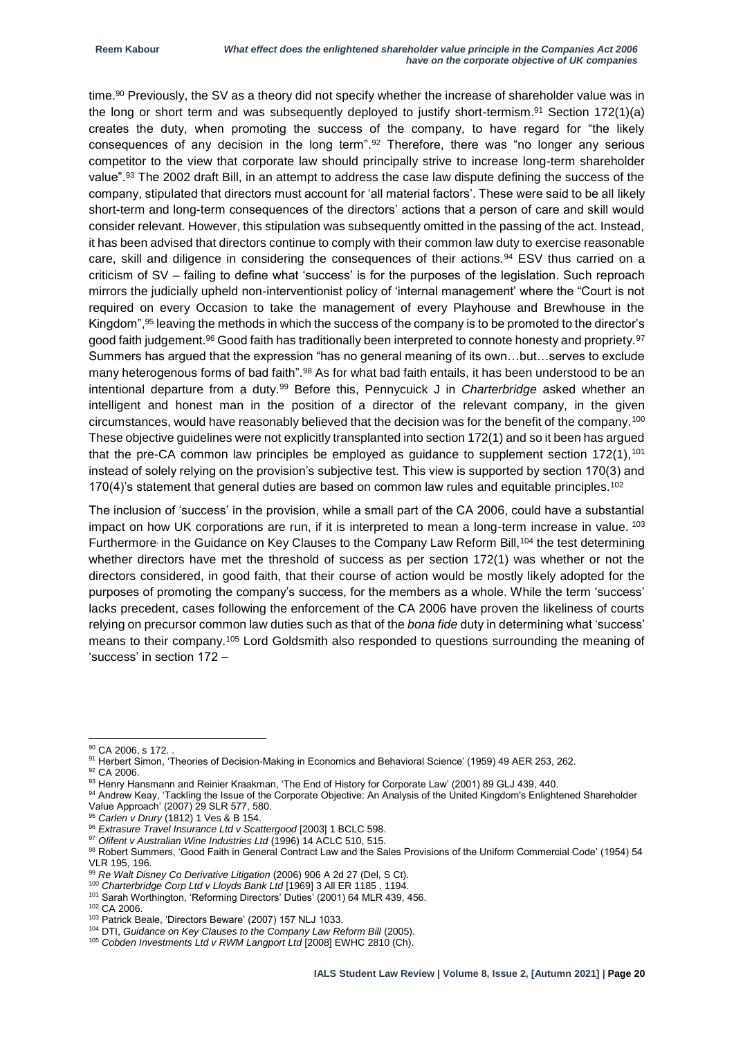time.<sup>90</sup> Previously, the SV as a theory did not specify whether the increase of shareholder value was in the long or short term and was subsequently deployed to justify short-termism.<sup>91</sup> Section 172(1)(a) creates the duty, when promoting the success of the company, to have regard for "the likely consequences of any decision in the long term".<sup>92</sup> Therefore, there was "no longer any serious competitor to the view that corporate law should principally strive to increase long-term shareholder value".<sup>93</sup> The 2002 draft Bill, in an attempt to address the case law dispute defining the success of the company, stipulated that directors must account for 'all material factors'. These were said to be all likely short-term and long-term consequences of the directors' actions that a person of care and skill would consider relevant. However, this stipulation was subsequently omitted in the passing of the act. Instead, it has been advised that directors continue to comply with their common law duty to exercise reasonable care, skill and diligence in considering the consequences of their actions.<sup>94</sup> ESV thus carried on a criticism of SV – failing to define what 'success' is for the purposes of the legislation. Such reproach mirrors the judicially upheld non-interventionist policy of 'internal management' where the "Court is not required on every Occasion to take the management of every Playhouse and Brewhouse in the Kingdom",<sup>95</sup> leaving the methods in which the success of the company is to be promoted to the director's good faith judgement.<sup>96</sup> Good faith has traditionally been interpreted to connote honesty and propriety.<sup>97</sup> Summers has argued that the expression "has no general meaning of its own…but…serves to exclude many heterogenous forms of bad faith".<sup>98</sup> As for what bad faith entails, it has been understood to be an intentional departure from a duty.<sup>99</sup> Before this, Pennycuick J in *Charterbridge* asked whether an intelligent and honest man in the position of a director of the relevant company, in the given circumstances, would have reasonably believed that the decision was for the benefit of the company.<sup>100</sup> These objective guidelines were not explicitly transplanted into section 172(1) and so it been has argued that the pre-CA common law principles be employed as quidance to supplement section 172(1),<sup>101</sup> instead of solely relying on the provision's subjective test. This view is supported by section 170(3) and 170(4)'s statement that general duties are based on common law rules and equitable principles.<sup>102</sup>

The inclusion of 'success' in the provision, while a small part of the CA 2006, could have a substantial impact on how UK corporations are run, if it is interpreted to mean a long-term increase in value. 103 Furthermore in the Guidance on Key Clauses to the Company Law Reform Bill,<sup>104</sup> the test determining whether directors have met the threshold of success as per section 172(1) was whether or not the directors considered, in good faith, that their course of action would be mostly likely adopted for the purposes of promoting the company's success, for the members as a whole. While the term 'success' lacks precedent, cases following the enforcement of the CA 2006 have proven the likeliness of courts relying on precursor common law duties such as that of the *bona fide* duty in determining what 'success' means to their company.<sup>105</sup> Lord Goldsmith also responded to questions surrounding the meaning of 'success' in section 172 –

<sup>&</sup>lt;sup>90</sup> CA 2006, s 172. .

<sup>91</sup> Herbert Simon, 'Theories of Decision-Making in Economics and Behavioral Science' (1959) 49 AER 253, 262.

<sup>&</sup>lt;sup>92</sup> CA 2006.

<sup>93</sup> Henry Hansmann and Reinier Kraakman, 'The End of History for Corporate Law' (2001) 89 GLJ 439, 440.

<sup>94</sup> Andrew Keay, 'Tackling the Issue of the Corporate Objective: An Analysis of the United Kingdom's Enlightened Shareholder Value Approach' (2007) 29 SLR 577, 580.

<sup>95</sup> *Carlen v Drury* (1812) 1 Ves & B 154.

<sup>96</sup> *Extrasure Travel Insurance Ltd v Scattergood* [2003] 1 BCLC 598.

<sup>&</sup>lt;sup>97</sup> Olifent v Australian Wine Industries Ltd (1996) 14 ACLC 510, 515.

<sup>98</sup> Robert Summers, 'Good Faith in General Contract Law and the Sales Provisions of the Uniform Commercial Code' (1954) 54 VLR 195, 196.

<sup>99</sup> *Re Walt Disney Co Derivative Litigation* (2006) 906 A 2d 27 (Del, S Ct). <sup>100</sup> *Charterbridge Corp Ltd v Lloyds Bank Ltd* [1969] 3 All ER 1185 , 1194.

<sup>101</sup> Sarah Worthington, 'Reforming Directors' Duties' (2001) 64 MLR 439, 456.

<sup>102</sup> CA 2006.

<sup>103</sup> Patrick Beale, 'Directors Beware' (2007) 157 NLJ 1033.

<sup>&</sup>lt;sup>104</sup> DTI, *Guidance on Key Clauses to the Company Law Reform Bill* (2005).

<sup>105</sup> *Cobden Investments Ltd v RWM Langport Ltd* [2008] EWHC 2810 (Ch).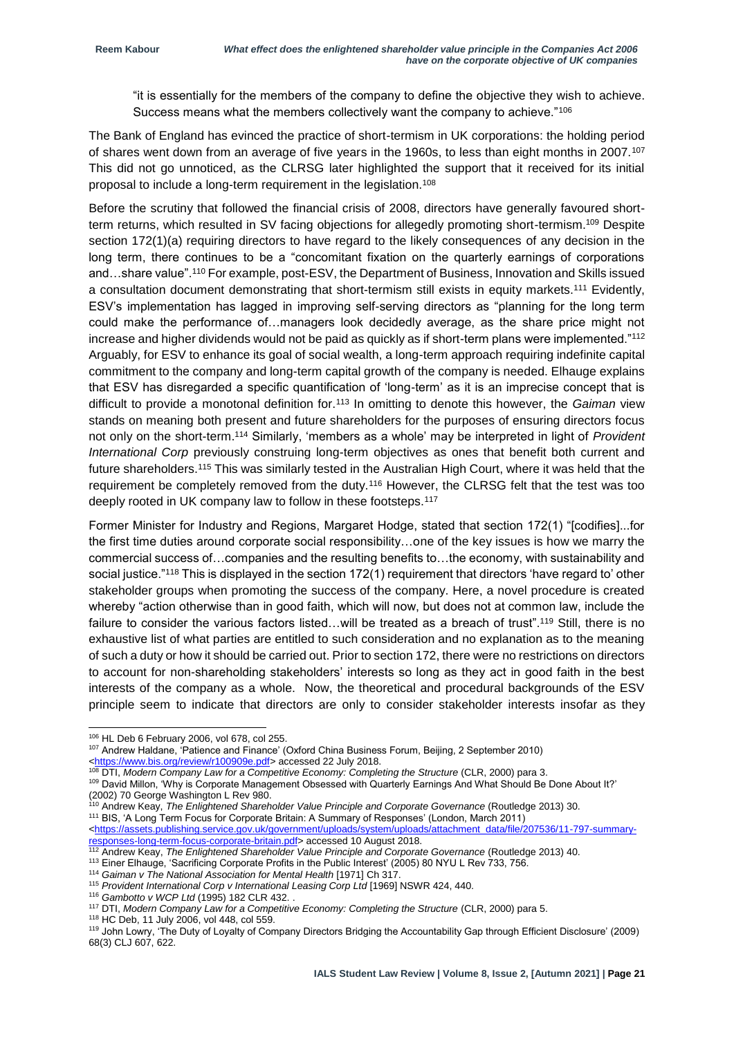"it is essentially for the members of the company to define the objective they wish to achieve. Success means what the members collectively want the company to achieve."<sup>106</sup>

The Bank of England has evinced the practice of short-termism in UK corporations: the holding period of shares went down from an average of five years in the 1960s, to less than eight months in 2007.<sup>107</sup> This did not go unnoticed, as the CLRSG later highlighted the support that it received for its initial proposal to include a long-term requirement in the legislation.<sup>108</sup>

Before the scrutiny that followed the financial crisis of 2008, directors have generally favoured shortterm returns, which resulted in SV facing objections for allegedly promoting short-termism.<sup>109</sup> Despite section 172(1)(a) requiring directors to have regard to the likely consequences of any decision in the long term, there continues to be a "concomitant fixation on the quarterly earnings of corporations and…share value".<sup>110</sup> For example, post-ESV, the Department of Business, Innovation and Skills issued a consultation document demonstrating that short-termism still exists in equity markets.<sup>111</sup> Evidently, ESV's implementation has lagged in improving self-serving directors as "planning for the long term could make the performance of…managers look decidedly average, as the share price might not increase and higher dividends would not be paid as quickly as if short-term plans were implemented."<sup>112</sup> Arguably, for ESV to enhance its goal of social wealth, a long-term approach requiring indefinite capital commitment to the company and long-term capital growth of the company is needed. Elhauge explains that ESV has disregarded a specific quantification of 'long-term' as it is an imprecise concept that is difficult to provide a monotonal definition for.<sup>113</sup> In omitting to denote this however, the *Gaiman* view stands on meaning both present and future shareholders for the purposes of ensuring directors focus not only on the short-term.<sup>114</sup> Similarly, 'members as a whole' may be interpreted in light of *Provident International Corp* previously construing long-term objectives as ones that benefit both current and future shareholders.<sup>115</sup> This was similarly tested in the Australian High Court, where it was held that the requirement be completely removed from the duty.<sup>116</sup> However, the CLRSG felt that the test was too deeply rooted in UK company law to follow in these footsteps.<sup>117</sup>

Former Minister for Industry and Regions, Margaret Hodge, stated that section 172(1) "[codifies]...for the first time duties around corporate social responsibility…one of the key issues is how we marry the commercial success of…companies and the resulting benefits to…the economy, with sustainability and social justice."<sup>118</sup> This is displayed in the section 172(1) requirement that directors 'have regard to' other stakeholder groups when promoting the success of the company. Here, a novel procedure is created whereby "action otherwise than in good faith, which will now, but does not at common law, include the failure to consider the various factors listed…will be treated as a breach of trust".<sup>119</sup> Still, there is no exhaustive list of what parties are entitled to such consideration and no explanation as to the meaning of such a duty or how it should be carried out. Prior to section 172, there were no restrictions on directors to account for non-shareholding stakeholders' interests so long as they act in good faith in the best interests of the company as a whole. Now, the theoretical and procedural backgrounds of the ESV principle seem to indicate that directors are only to consider stakeholder interests insofar as they

-

<sup>110</sup> Andrew Keay, *The Enlightened Shareholder Value Principle and Corporate Governance* (Routledge 2013) 30. <sup>111</sup> BIS, 'A Long Term Focus for Corporate Britain: A Summary of Responses' (London, March 2011)

- <sup>113</sup> Einer Elhauge, 'Sacrificing Corporate Profits in the Public Interest' (2005) 80 NYU L Rev 733, 756.
- <sup>114</sup> Gaiman v The National Association for Mental Health [1971] Ch 317.

<sup>116</sup> *Gambotto v WCP Ltd* (1995) 182 CLR 432. .

<sup>118</sup> HC Deb, 11 July 2006, vol 448, col 559.

<sup>106</sup> HL Deb 6 February 2006, vol 678, col 255.

<sup>107</sup> Andrew Haldane, 'Patience and Finance' (Oxford China Business Forum, Beijing, 2 September 2010) [<https://www.bis.org/review/r100909e.pdf>](https://www.bis.org/review/r100909e.pdf) accessed 22 July 2018.

<sup>&</sup>lt;sup>108</sup> DTI, Modern Company Law for a Competitive Economy: Completing the Structure (CLR, 2000) para 3.

<sup>109</sup> David Millon, 'Why is Corporate Management Obsessed with Quarterly Earnings And What Should Be Done About It?' (2002) 70 George Washington L Rev 980.

[<sup>&</sup>lt;https://assets.publishing.service.gov.uk/government/uploads/system/uploads/attachment\\_data/file/207536/11-797-summary](https://assets.publishing.service.gov.uk/government/uploads/system/uploads/attachment_data/file/207536/11-797-summary-responses-long-term-focus-corporate-britain.pdf)[responses-long-term-focus-corporate-britain.pdf>](https://assets.publishing.service.gov.uk/government/uploads/system/uploads/attachment_data/file/207536/11-797-summary-responses-long-term-focus-corporate-britain.pdf) accessed 10 August 2018.

<sup>112</sup> Andrew Keay, *The Enlightened Shareholder Value Principle and Corporate Governance* (Routledge 2013) 40.

<sup>&</sup>lt;sup>115</sup> Provident International Corp v International Leasing Corp Ltd [1969] NSWR 424, 440.

<sup>117</sup> DTI, *Modern Company Law for a Competitive Economy: Completing the Structure* (CLR, 2000) para 5.

<sup>119</sup> John Lowry, 'The Duty of Loyalty of Company Directors Bridging the Accountability Gap through Efficient Disclosure' (2009) 68(3) CLJ 607, 622.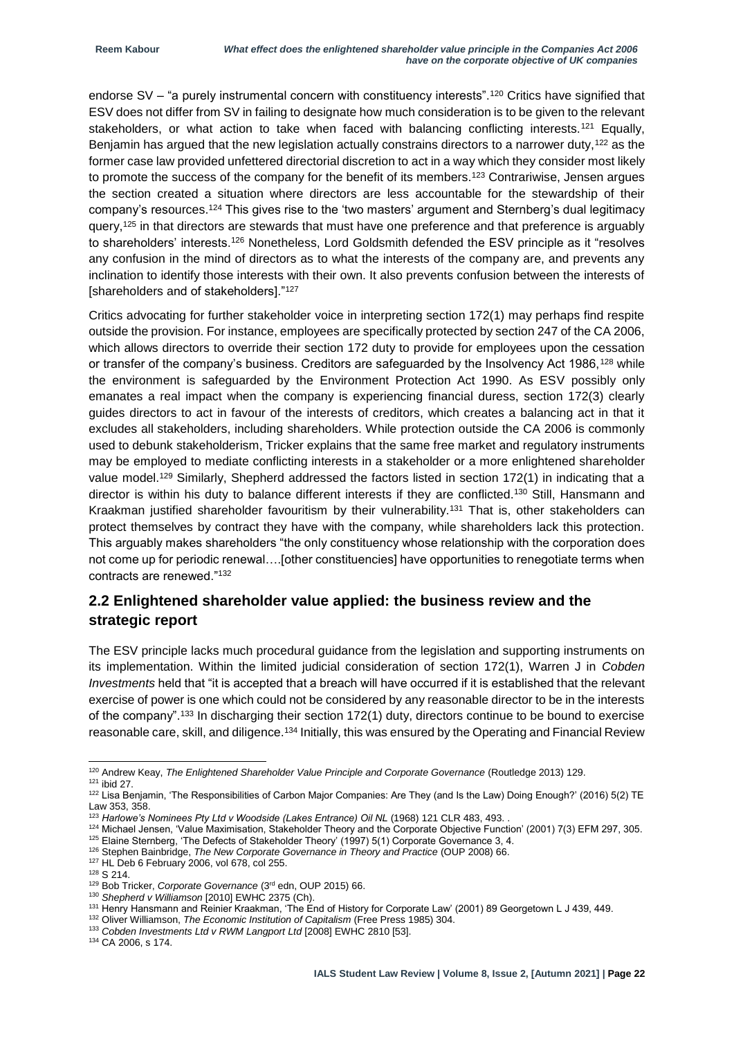endorse SV – "a purely instrumental concern with constituency interests".<sup>120</sup> Critics have signified that ESV does not differ from SV in failing to designate how much consideration is to be given to the relevant stakeholders, or what action to take when faced with balancing conflicting interests.<sup>121</sup> Equally, Benjamin has argued that the new legislation actually constrains directors to a narrower duty,<sup>122</sup> as the former case law provided unfettered directorial discretion to act in a way which they consider most likely to promote the success of the company for the benefit of its members.<sup>123</sup> Contrariwise, Jensen argues the section created a situation where directors are less accountable for the stewardship of their company's resources.<sup>124</sup> This gives rise to the 'two masters' argument and Sternberg's dual legitimacy query,<sup>125</sup> in that directors are stewards that must have one preference and that preference is arguably to shareholders' interests.<sup>126</sup> Nonetheless, Lord Goldsmith defended the ESV principle as it "resolves" any confusion in the mind of directors as to what the interests of the company are, and prevents any inclination to identify those interests with their own. It also prevents confusion between the interests of [shareholders and of stakeholders]."<sup>127</sup>

Critics advocating for further stakeholder voice in interpreting section 172(1) may perhaps find respite outside the provision. For instance, employees are specifically protected by section 247 of the CA 2006, which allows directors to override their section 172 duty to provide for employees upon the cessation or transfer of the company's business. Creditors are safeguarded by the Insolvency Act 1986,<sup>128</sup> while the environment is safeguarded by the Environment Protection Act 1990. As ESV possibly only emanates a real impact when the company is experiencing financial duress, section 172(3) clearly guides directors to act in favour of the interests of creditors, which creates a balancing act in that it excludes all stakeholders, including shareholders. While protection outside the CA 2006 is commonly used to debunk stakeholderism, Tricker explains that the same free market and regulatory instruments may be employed to mediate conflicting interests in a stakeholder or a more enlightened shareholder value model.<sup>129</sup> Similarly, Shepherd addressed the factors listed in section 172(1) in indicating that a director is within his duty to balance different interests if they are conflicted.<sup>130</sup> Still, Hansmann and Kraakman justified shareholder favouritism by their vulnerability.<sup>131</sup> That is, other stakeholders can protect themselves by contract they have with the company, while shareholders lack this protection. This arguably makes shareholders "the only constituency whose relationship with the corporation does not come up for periodic renewal….[other constituencies] have opportunities to renegotiate terms when contracts are renewed."<sup>132</sup>

#### **2.2 Enlightened shareholder value applied: the business review and the strategic report**

The ESV principle lacks much procedural guidance from the legislation and supporting instruments on its implementation. Within the limited judicial consideration of section 172(1), Warren J in *Cobden Investments* held that "it is accepted that a breach will have occurred if it is established that the relevant exercise of power is one which could not be considered by any reasonable director to be in the interests of the company".<sup>133</sup> In discharging their section 172(1) duty, directors continue to be bound to exercise reasonable care, skill, and diligence.<sup>134</sup> Initially, this was ensured by the Operating and Financial Review

-

<sup>127</sup> HL Deb 6 February 2006, vol 678, col 255.

<sup>120</sup> Andrew Keay, *The Enlightened Shareholder Value Principle and Corporate Governance* (Routledge 2013) 129.

 $121$  ibid 27.

<sup>&</sup>lt;sup>122</sup> Lisa Benjamin, 'The Responsibilities of Carbon Major Companies: Are They (and Is the Law) Doing Enough?' (2016) 5(2) TE Law 353, 358.

<sup>&</sup>lt;sup>123</sup> Harlowe's Nominees Pty Ltd v Woodside (Lakes Entrance) Oil NL (1968) 121 CLR 483, 493. .

<sup>124</sup> Michael Jensen, 'Value Maximisation, Stakeholder Theory and the Corporate Objective Function' (2001) 7(3) EFM 297, 305. 125 Elaine Sternberg, 'The Defects of Stakeholder Theory' (1997) 5(1) Corporate Governance 3, 4.

<sup>&</sup>lt;sup>126</sup> Stephen Bainbridge, *The New Corporate Governance in Theory and Practice* (OUP 2008) 66.

<sup>128</sup> S 214.

<sup>129</sup> Bob Tricker, *Corporate Governance* (3rd edn, OUP 2015) 66.

<sup>130</sup> *Shepherd v Williamson* [2010] EWHC 2375 (Ch).

<sup>131</sup> Henry Hansmann and Reinier Kraakman, 'The End of History for Corporate Law' (2001) 89 Georgetown L J 439, 449.

<sup>132</sup> Oliver Williamson, *The Economic Institution of Capitalism* (Free Press 1985) 304.

<sup>133</sup> *Cobden Investments Ltd v RWM Langport Ltd* [2008] EWHC 2810 [53].

<sup>134</sup> CA 2006, s 174.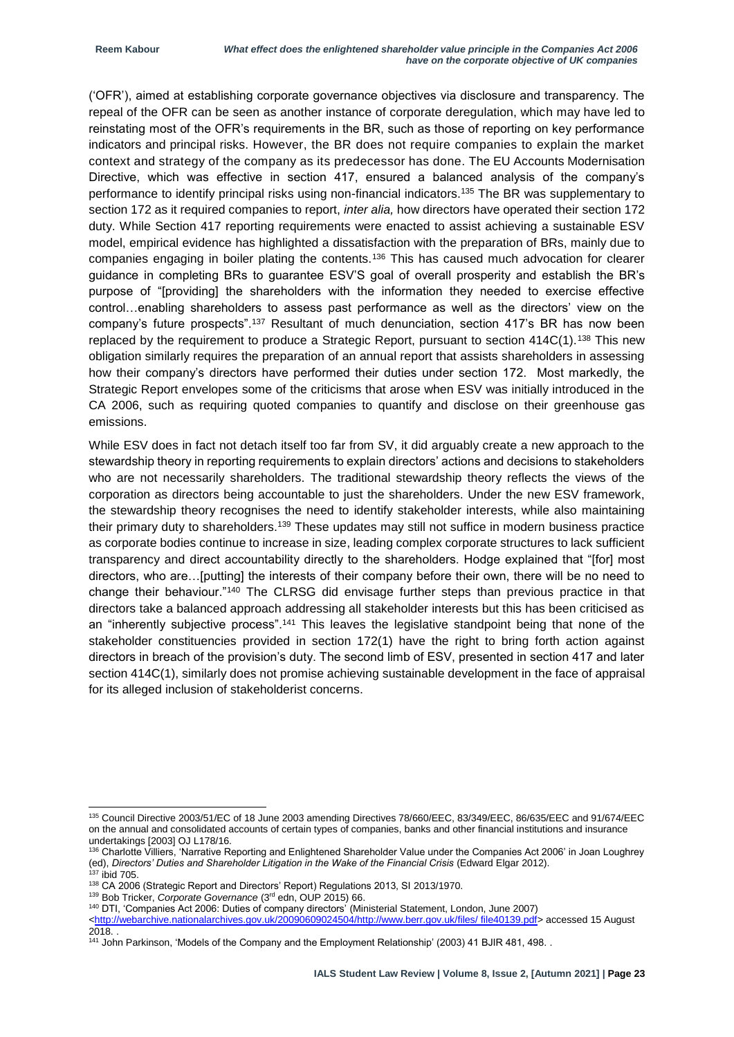('OFR'), aimed at establishing corporate governance objectives via disclosure and transparency. The repeal of the OFR can be seen as another instance of corporate deregulation, which may have led to reinstating most of the OFR's requirements in the BR, such as those of reporting on key performance indicators and principal risks. However, the BR does not require companies to explain the market context and strategy of the company as its predecessor has done. The EU Accounts Modernisation Directive, which was effective in section 417, ensured a balanced analysis of the company's performance to identify principal risks using non-financial indicators.<sup>135</sup> The BR was supplementary to section 172 as it required companies to report, *inter alia,* how directors have operated their section 172 duty. While Section 417 reporting requirements were enacted to assist achieving a sustainable ESV model, empirical evidence has highlighted a dissatisfaction with the preparation of BRs, mainly due to companies engaging in boiler plating the contents.<sup>136</sup> This has caused much advocation for clearer guidance in completing BRs to guarantee ESV'S goal of overall prosperity and establish the BR's purpose of "[providing] the shareholders with the information they needed to exercise effective control…enabling shareholders to assess past performance as well as the directors' view on the company's future prospects".<sup>137</sup> Resultant of much denunciation, section 417's BR has now been replaced by the requirement to produce a Strategic Report, pursuant to section  $414C(1)$ .<sup>138</sup> This new obligation similarly requires the preparation of an annual report that assists shareholders in assessing how their company's directors have performed their duties under section 172. Most markedly, the Strategic Report envelopes some of the criticisms that arose when ESV was initially introduced in the CA 2006, such as requiring quoted companies to quantify and disclose on their greenhouse gas emissions.

While ESV does in fact not detach itself too far from SV, it did arguably create a new approach to the stewardship theory in reporting requirements to explain directors' actions and decisions to stakeholders who are not necessarily shareholders. The traditional stewardship theory reflects the views of the corporation as directors being accountable to just the shareholders. Under the new ESV framework, the stewardship theory recognises the need to identify stakeholder interests, while also maintaining their primary duty to shareholders.<sup>139</sup> These updates may still not suffice in modern business practice as corporate bodies continue to increase in size, leading complex corporate structures to lack sufficient transparency and direct accountability directly to the shareholders. Hodge explained that "[for] most directors, who are…[putting] the interests of their company before their own, there will be no need to change their behaviour."<sup>140</sup> The CLRSG did envisage further steps than previous practice in that directors take a balanced approach addressing all stakeholder interests but this has been criticised as an "inherently subjective process".<sup>141</sup> This leaves the legislative standpoint being that none of the stakeholder constituencies provided in section 172(1) have the right to bring forth action against directors in breach of the provision's duty. The second limb of ESV, presented in section 417 and later section 414C(1), similarly does not promise achieving sustainable development in the face of appraisal for its alleged inclusion of stakeholderist concerns.

<sup>-</sup><sup>135</sup> Council Directive 2003/51/EC of 18 June 2003 amending Directives 78/660/EEC, 83/349/EEC, 86/635/EEC and 91/674/EEC on the annual and consolidated accounts of certain types of companies, banks and other financial institutions and insurance undertakings [2003] OJ L178/16.

<sup>136</sup> Charlotte Villiers, 'Narrative Reporting and Enlightened Shareholder Value under the Companies Act 2006' in Joan Loughrey (ed), *Directors' Duties and Shareholder Litigation in the Wake of the Financial Crisis* (Edward Elgar 2012).

 $137$  ibid 705.

<sup>138</sup> CA 2006 (Strategic Report and Directors' Report) Regulations 2013, SI 2013/1970.

<sup>139</sup> Bob Tricker, *Corporate Governance* (3rd edn, OUP 2015) 66.

<sup>140</sup> DTI, 'Companies Act 2006: Duties of company directors' (Ministerial Statement, London, June 2007)

[<sup>&</sup>lt;http://webarchive.nationalarchives.gov.uk/20090609024504/http://www.berr.gov.uk/files/ file40139.pdf>](http://webarchive.nationalarchives.gov.uk/20090609024504/http:/www.berr.gov.uk/files/%20file40139.pdf) accessed 15 August 2018

<sup>141</sup> John Parkinson, 'Models of the Company and the Employment Relationship' (2003) 41 BJIR 481, 498. .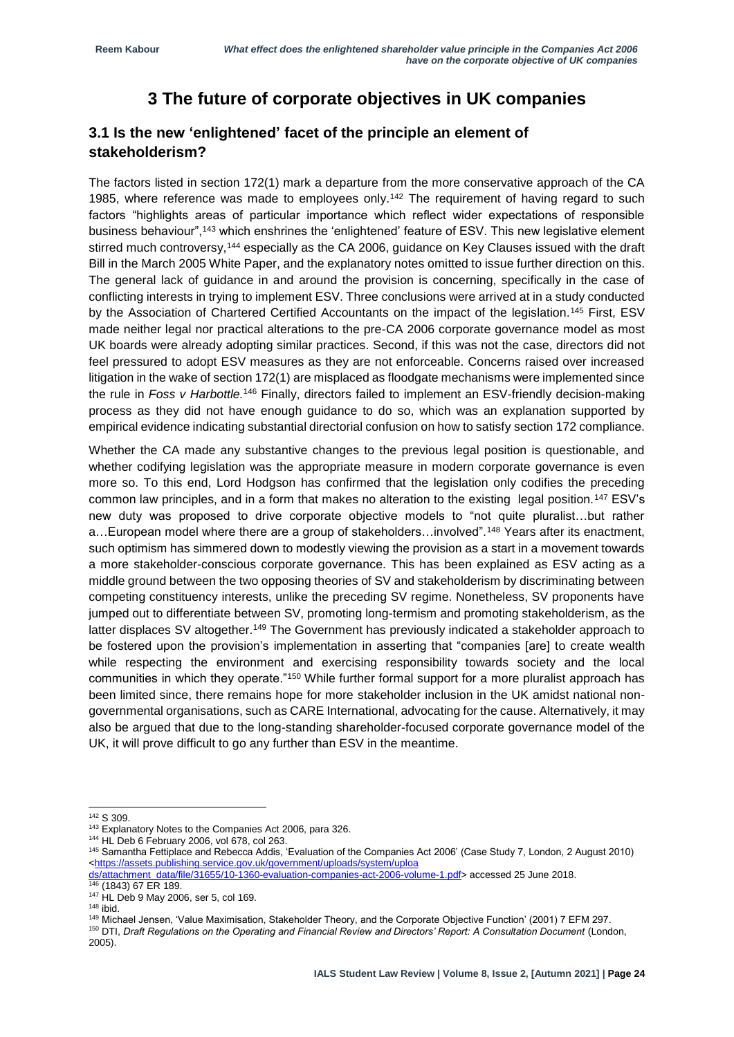## **3 The future of corporate objectives in UK companies**

#### **3.1 Is the new 'enlightened' facet of the principle an element of stakeholderism?**

The factors listed in section 172(1) mark a departure from the more conservative approach of the CA 1985, where reference was made to employees only.<sup>142</sup> The requirement of having regard to such factors "highlights areas of particular importance which reflect wider expectations of responsible business behaviour",<sup>143</sup> which enshrines the 'enlightened' feature of ESV. This new legislative element stirred much controversy,<sup>144</sup> especially as the CA 2006, guidance on Key Clauses issued with the draft Bill in the March 2005 White Paper, and the explanatory notes omitted to issue further direction on this. The general lack of guidance in and around the provision is concerning, specifically in the case of conflicting interests in trying to implement ESV. Three conclusions were arrived at in a study conducted by the Association of Chartered Certified Accountants on the impact of the legislation.<sup>145</sup> First, ESV made neither legal nor practical alterations to the pre-CA 2006 corporate governance model as most UK boards were already adopting similar practices. Second, if this was not the case, directors did not feel pressured to adopt ESV measures as they are not enforceable. Concerns raised over increased litigation in the wake of section 172(1) are misplaced as floodgate mechanisms were implemented since the rule in *Foss v Harbottle.*<sup>146</sup> Finally, directors failed to implement an ESV-friendly decision-making process as they did not have enough guidance to do so, which was an explanation supported by empirical evidence indicating substantial directorial confusion on how to satisfy section 172 compliance.

Whether the CA made any substantive changes to the previous legal position is questionable, and whether codifying legislation was the appropriate measure in modern corporate governance is even more so. To this end, Lord Hodgson has confirmed that the legislation only codifies the preceding common law principles, and in a form that makes no alteration to the existing legal position.<sup>147</sup> ESV's new duty was proposed to drive corporate objective models to "not quite pluralist…but rather a…European model where there are a group of stakeholders…involved".<sup>148</sup> Years after its enactment, such optimism has simmered down to modestly viewing the provision as a start in a movement towards a more stakeholder-conscious corporate governance. This has been explained as ESV acting as a middle ground between the two opposing theories of SV and stakeholderism by discriminating between competing constituency interests, unlike the preceding SV regime. Nonetheless, SV proponents have jumped out to differentiate between SV, promoting long-termism and promoting stakeholderism, as the latter displaces SV altogether.<sup>149</sup> The Government has previously indicated a stakeholder approach to be fostered upon the provision's implementation in asserting that "companies [are] to create wealth while respecting the environment and exercising responsibility towards society and the local communities in which they operate."<sup>150</sup> While further formal support for a more pluralist approach has been limited since, there remains hope for more stakeholder inclusion in the UK amidst national nongovernmental organisations, such as CARE International, advocating for the cause. Alternatively, it may also be argued that due to the long-standing shareholder-focused corporate governance model of the UK, it will prove difficult to go any further than ESV in the meantime.

<sup>142</sup> S 309.

<sup>143</sup> Explanatory Notes to the Companies Act 2006, para 326.

<sup>144</sup> HL Deb 6 February 2006, vol 678, col 263.

<sup>145</sup> Samantha Fettiplace and Rebecca Addis, 'Evaluation of the Companies Act 2006' (Case Study 7, London, 2 August 2010) [<https://assets.publishing.service.gov.uk/government/uploads/system/uploa](https://assets.publishing.service.gov.uk/government/uploads/system/uploa%20%20ds/attachment_data/file/31655/10-1360-evaluation-companies-act-2006-volume-1.pdf)

[ds/attachment\\_data/file/31655/10-1360-evaluation-companies-act-2006-volume-1.pdf>](https://assets.publishing.service.gov.uk/government/uploads/system/uploa%20%20ds/attachment_data/file/31655/10-1360-evaluation-companies-act-2006-volume-1.pdf) accessed 25 June 2018.

<sup>146</sup> (1843) 67 ER 189.

<sup>147</sup> HL Deb 9 May 2006, ser 5, col 169.

<sup>148</sup> ibid.

<sup>149</sup> Michael Jensen, 'Value Maximisation, Stakeholder Theory, and the Corporate Objective Function' (2001) 7 EFM 297.

<sup>150</sup> DTI, *Draft Regulations on the Operating and Financial Review and Directors' Report: A Consultation Document* (London, 2005).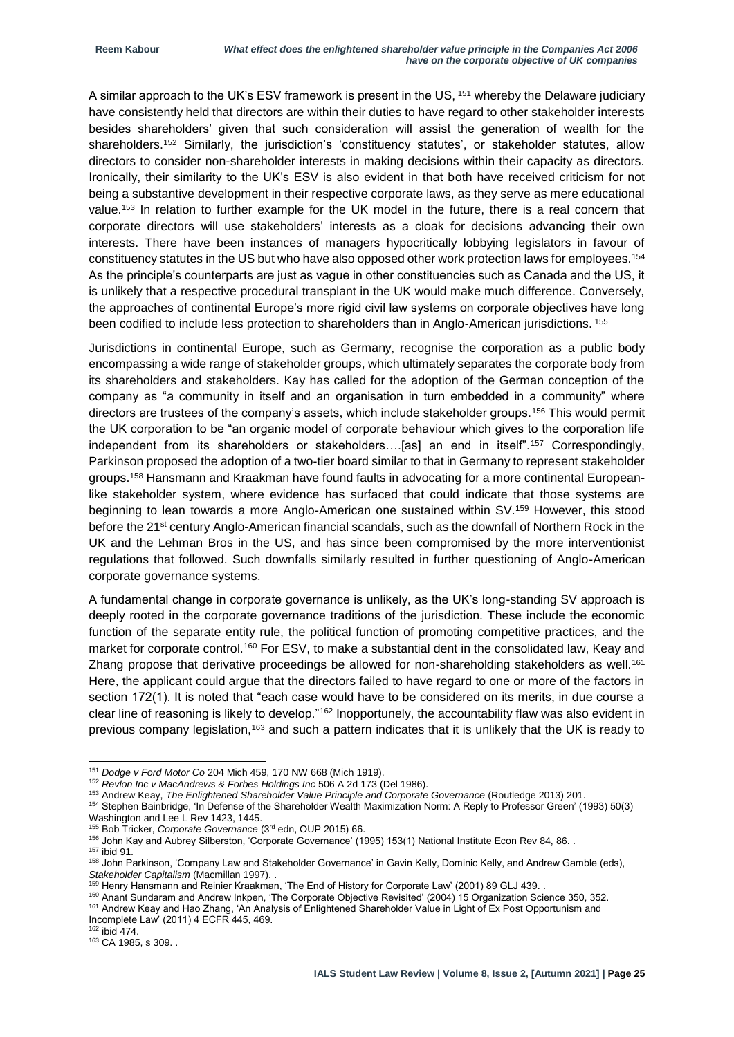A similar approach to the UK's ESV framework is present in the US, <sup>151</sup> whereby the Delaware judiciary have consistently held that directors are within their duties to have regard to other stakeholder interests besides shareholders' given that such consideration will assist the generation of wealth for the shareholders.<sup>152</sup> Similarly, the jurisdiction's 'constituency statutes', or stakeholder statutes, allow directors to consider non-shareholder interests in making decisions within their capacity as directors. Ironically, their similarity to the UK's ESV is also evident in that both have received criticism for not being a substantive development in their respective corporate laws, as they serve as mere educational value.<sup>153</sup> In relation to further example for the UK model in the future, there is a real concern that corporate directors will use stakeholders' interests as a cloak for decisions advancing their own interests. There have been instances of managers hypocritically lobbying legislators in favour of constituency statutes in the US but who have also opposed other work protection laws for employees.<sup>154</sup> As the principle's counterparts are just as vague in other constituencies such as Canada and the US, it is unlikely that a respective procedural transplant in the UK would make much difference. Conversely, the approaches of continental Europe's more rigid civil law systems on corporate objectives have long been codified to include less protection to shareholders than in Anglo-American jurisdictions. <sup>155</sup>

Jurisdictions in continental Europe, such as Germany, recognise the corporation as a public body encompassing a wide range of stakeholder groups, which ultimately separates the corporate body from its shareholders and stakeholders. Kay has called for the adoption of the German conception of the company as "a community in itself and an organisation in turn embedded in a community" where directors are trustees of the company's assets, which include stakeholder groups.<sup>156</sup> This would permit the UK corporation to be "an organic model of corporate behaviour which gives to the corporation life independent from its shareholders or stakeholders….[as] an end in itself".<sup>157</sup> Correspondingly, Parkinson proposed the adoption of a two-tier board similar to that in Germany to represent stakeholder groups.<sup>158</sup> Hansmann and Kraakman have found faults in advocating for a more continental Europeanlike stakeholder system, where evidence has surfaced that could indicate that those systems are beginning to lean towards a more Anglo-American one sustained within SV.<sup>159</sup> However, this stood before the 21<sup>st</sup> century Anglo-American financial scandals, such as the downfall of Northern Rock in the UK and the Lehman Bros in the US, and has since been compromised by the more interventionist regulations that followed. Such downfalls similarly resulted in further questioning of Anglo-American corporate governance systems.

A fundamental change in corporate governance is unlikely, as the UK's long-standing SV approach is deeply rooted in the corporate governance traditions of the jurisdiction. These include the economic function of the separate entity rule, the political function of promoting competitive practices, and the market for corporate control.<sup>160</sup> For ESV, to make a substantial dent in the consolidated law, Keay and Zhang propose that derivative proceedings be allowed for non-shareholding stakeholders as well.<sup>161</sup> Here, the applicant could argue that the directors failed to have regard to one or more of the factors in section 172(1). It is noted that "each case would have to be considered on its merits, in due course a clear line of reasoning is likely to develop."<sup>162</sup> Inopportunely, the accountability flaw was also evident in previous company legislation,<sup>163</sup> and such a pattern indicates that it is unlikely that the UK is ready to

<sup>154</sup> Stephen Bainbridge, 'In Defense of the Shareholder Wealth Maximization Norm: A Reply to Professor Green' (1993) 50(3) Washington and Lee L Rev 1423, 1445.

<sup>151</sup> *Dodge v Ford Motor Co* 204 Mich 459, 170 NW 668 (Mich 1919).

<sup>152</sup> *Revlon Inc v MacAndrews & Forbes Holdings Inc* 506 A 2d 173 (Del 1986).

<sup>153</sup> Andrew Keay, *The Enlightened Shareholder Value Principle and Corporate Governance* (Routledge 2013) 201.

<sup>155</sup> Bob Tricker, *Corporate Governance* (3rd edn, OUP 2015) 66.

<sup>156</sup> John Kay and Aubrey Silberston, 'Corporate Governance' (1995) 153(1) National Institute Econ Rev 84, 86. .

<sup>157</sup> ibid 91.

<sup>158</sup> John Parkinson, 'Company Law and Stakeholder Governance' in Gavin Kelly, Dominic Kelly, and Andrew Gamble (eds), *Stakeholder Capitalism* (Macmillan 1997). .

<sup>159</sup> Henry Hansmann and Reinier Kraakman, 'The End of History for Corporate Law' (2001) 89 GLJ 439. .

<sup>160</sup> Anant Sundaram and Andrew Inkpen, 'The Corporate Objective Revisited' (2004) 15 Organization Science 350, 352. 161 Andrew Keay and Hao Zhang, 'An Analysis of Enlightened Shareholder Value in Light of Ex Post Opportunism and Incomplete Law' (2011) 4 ECFR 445, 469.

 $162$  ibid 474.

<sup>163</sup> CA 1985, s 309. .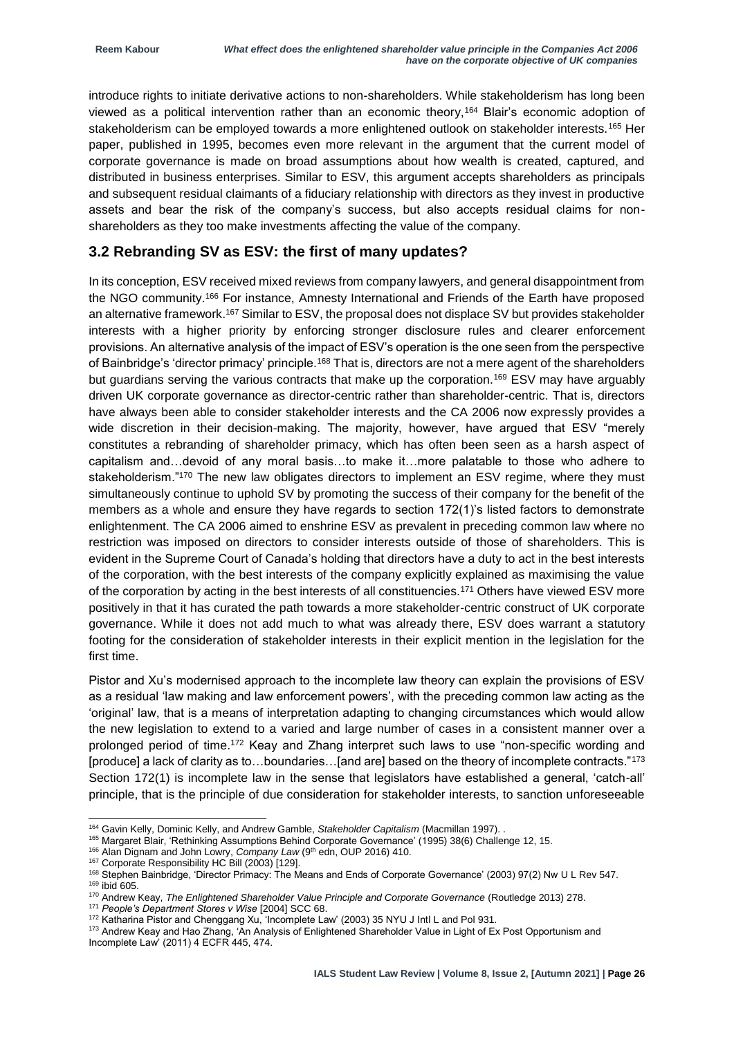introduce rights to initiate derivative actions to non-shareholders. While stakeholderism has long been viewed as a political intervention rather than an economic theory,<sup>164</sup> Blair's economic adoption of stakeholderism can be employed towards a more enlightened outlook on stakeholder interests.<sup>165</sup> Her paper, published in 1995, becomes even more relevant in the argument that the current model of corporate governance is made on broad assumptions about how wealth is created, captured, and distributed in business enterprises. Similar to ESV, this argument accepts shareholders as principals and subsequent residual claimants of a fiduciary relationship with directors as they invest in productive assets and bear the risk of the company's success, but also accepts residual claims for nonshareholders as they too make investments affecting the value of the company.

#### **3.2 Rebranding SV as ESV: the first of many updates?**

In its conception, ESV received mixed reviews from company lawyers, and general disappointment from the NGO community.<sup>166</sup> For instance, Amnesty International and Friends of the Earth have proposed an alternative framework.<sup>167</sup> Similar to ESV, the proposal does not displace SV but provides stakeholder interests with a higher priority by enforcing stronger disclosure rules and clearer enforcement provisions. An alternative analysis of the impact of ESV's operation is the one seen from the perspective of Bainbridge's 'director primacy' principle.<sup>168</sup> That is, directors are not a mere agent of the shareholders but guardians serving the various contracts that make up the corporation.<sup>169</sup> ESV may have arguably driven UK corporate governance as director-centric rather than shareholder-centric. That is, directors have always been able to consider stakeholder interests and the CA 2006 now expressly provides a wide discretion in their decision-making. The majority, however, have argued that ESV "merely constitutes a rebranding of shareholder primacy, which has often been seen as a harsh aspect of capitalism and…devoid of any moral basis…to make it…more palatable to those who adhere to stakeholderism."170 The new law obligates directors to implement an ESV regime, where they must simultaneously continue to uphold SV by promoting the success of their company for the benefit of the members as a whole and ensure they have regards to section 172(1)'s listed factors to demonstrate enlightenment. The CA 2006 aimed to enshrine ESV as prevalent in preceding common law where no restriction was imposed on directors to consider interests outside of those of shareholders. This is evident in the Supreme Court of Canada's holding that directors have a duty to act in the best interests of the corporation, with the best interests of the company explicitly explained as maximising the value of the corporation by acting in the best interests of all constituencies.<sup>171</sup> Others have viewed ESV more positively in that it has curated the path towards a more stakeholder-centric construct of UK corporate governance. While it does not add much to what was already there, ESV does warrant a statutory footing for the consideration of stakeholder interests in their explicit mention in the legislation for the first time.

Pistor and Xu's modernised approach to the incomplete law theory can explain the provisions of ESV as a residual 'law making and law enforcement powers', with the preceding common law acting as the 'original' law, that is a means of interpretation adapting to changing circumstances which would allow the new legislation to extend to a varied and large number of cases in a consistent manner over a prolonged period of time.<sup>172</sup> Keay and Zhang interpret such laws to use "non-specific wording and [produce] a lack of clarity as to...boundaries...[and are] based on the theory of incomplete contracts."<sup>173</sup> Section 172(1) is incomplete law in the sense that legislators have established a general, 'catch-all' principle, that is the principle of due consideration for stakeholder interests, to sanction unforeseeable

<sup>164</sup> Gavin Kelly, Dominic Kelly, and Andrew Gamble, *Stakeholder Capitalism* (Macmillan 1997). .

<sup>165</sup> Margaret Blair, 'Rethinking Assumptions Behind Corporate Governance' (1995) 38(6) Challenge 12, 15.

<sup>&</sup>lt;sup>166</sup> Alan Dignam and John Lowry, *Company Law* (9<sup>th</sup> edn, OUP 2016) 410.

<sup>&</sup>lt;sup>167</sup> Corporate Responsibility HC Bill (2003) [129].

<sup>168</sup> Stephen Bainbridge, 'Director Primacy: The Means and Ends of Corporate Governance' (2003) 97(2) Nw U L Rev 547.

<sup>169</sup> ibid 605.

<sup>170</sup> Andrew Keay, *The Enlightened Shareholder Value Principle and Corporate Governance* (Routledge 2013) 278.

<sup>171</sup> *People's Department Stores v Wise* [2004] SCC 68.

<sup>172</sup> Katharina Pistor and Chenggang Xu, 'Incomplete Law' (2003) 35 NYU J Intl L and Pol 931.

<sup>173</sup> Andrew Keay and Hao Zhang, 'An Analysis of Enlightened Shareholder Value in Light of Ex Post Opportunism and Incomplete Law' (2011) 4 ECFR 445, 474.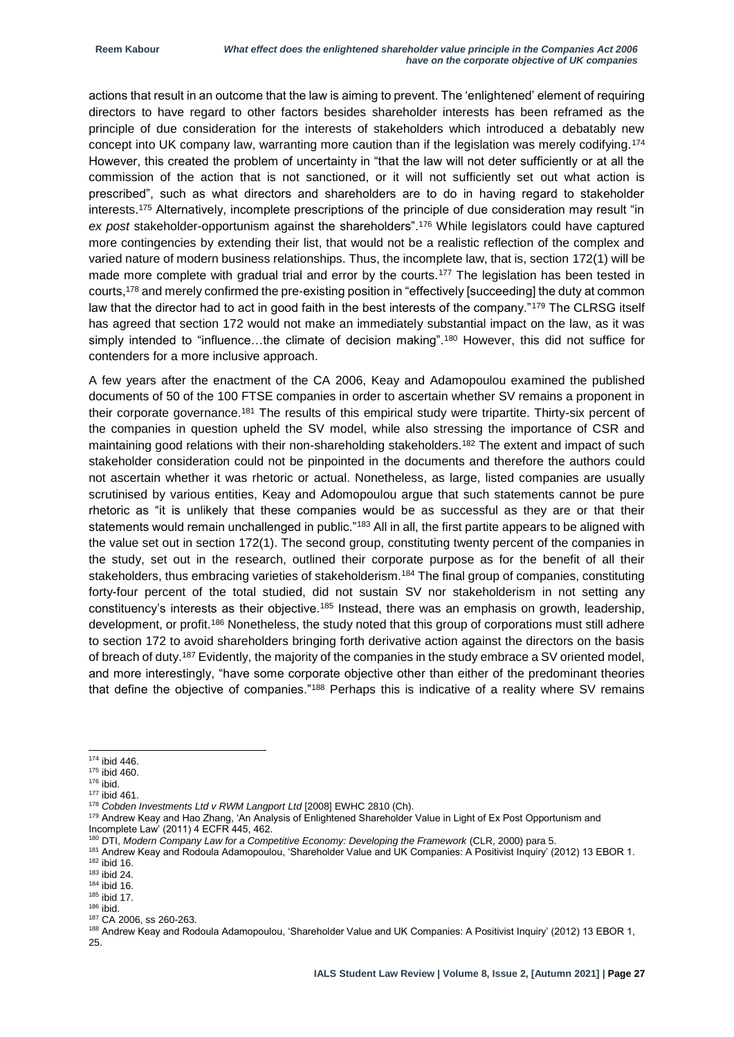actions that result in an outcome that the law is aiming to prevent. The 'enlightened' element of requiring directors to have regard to other factors besides shareholder interests has been reframed as the principle of due consideration for the interests of stakeholders which introduced a debatably new concept into UK company law, warranting more caution than if the legislation was merely codifying.<sup>174</sup> However, this created the problem of uncertainty in "that the law will not deter sufficiently or at all the commission of the action that is not sanctioned, or it will not sufficiently set out what action is prescribed", such as what directors and shareholders are to do in having regard to stakeholder interests.<sup>175</sup> Alternatively, incomplete prescriptions of the principle of due consideration may result "in *ex post* stakeholder-opportunism against the shareholders".<sup>176</sup> While legislators could have captured more contingencies by extending their list, that would not be a realistic reflection of the complex and varied nature of modern business relationships. Thus, the incomplete law, that is, section 172(1) will be made more complete with gradual trial and error by the courts.<sup>177</sup> The legislation has been tested in courts,<sup>178</sup> and merely confirmed the pre-existing position in "effectively [succeeding] the duty at common law that the director had to act in good faith in the best interests of the company."<sup>179</sup> The CLRSG itself has agreed that section 172 would not make an immediately substantial impact on the law, as it was simply intended to "influence...the climate of decision making".<sup>180</sup> However, this did not suffice for contenders for a more inclusive approach.

A few years after the enactment of the CA 2006, Keay and Adamopoulou examined the published documents of 50 of the 100 FTSE companies in order to ascertain whether SV remains a proponent in their corporate governance.<sup>181</sup> The results of this empirical study were tripartite. Thirty-six percent of the companies in question upheld the SV model, while also stressing the importance of CSR and maintaining good relations with their non-shareholding stakeholders.<sup>182</sup> The extent and impact of such stakeholder consideration could not be pinpointed in the documents and therefore the authors could not ascertain whether it was rhetoric or actual. Nonetheless, as large, listed companies are usually scrutinised by various entities, Keay and Adomopoulou argue that such statements cannot be pure rhetoric as "it is unlikely that these companies would be as successful as they are or that their statements would remain unchallenged in public."<sup>183</sup> All in all, the first partite appears to be aligned with the value set out in section 172(1). The second group, constituting twenty percent of the companies in the study, set out in the research, outlined their corporate purpose as for the benefit of all their stakeholders, thus embracing varieties of stakeholderism.<sup>184</sup> The final group of companies, constituting forty-four percent of the total studied, did not sustain SV nor stakeholderism in not setting any constituency's interests as their objective.<sup>185</sup> Instead, there was an emphasis on growth, leadership, development, or profit.<sup>186</sup> Nonetheless, the study noted that this group of corporations must still adhere to section 172 to avoid shareholders bringing forth derivative action against the directors on the basis of breach of duty.<sup>187</sup> Evidently, the majority of the companies in the study embrace a SV oriented model, and more interestingly, "have some corporate objective other than either of the predominant theories that define the objective of companies."<sup>188</sup> Perhaps this is indicative of a reality where SV remains

1

- <sup>186</sup> ibid.
- <sup>187</sup> CA 2006, ss 260-263.

<sup>174</sup> ibid 446.

<sup>175</sup> ibid 460.

<sup>176</sup> ibid.

<sup>177</sup> ibid 461.

<sup>178</sup> *Cobden Investments Ltd v RWM Langport Ltd* [2008] EWHC 2810 (Ch).

<sup>179</sup> Andrew Keay and Hao Zhang, 'An Analysis of Enlightened Shareholder Value in Light of Ex Post Opportunism and Incomplete Law' (2011) 4 ECFR 445, 462.

<sup>180</sup> DTI, *Modern Company Law for a Competitive Economy: Developing the Framework* (CLR, 2000) para 5.

<sup>181</sup> Andrew Keay and Rodoula Adamopoulou, 'Shareholder Value and UK Companies: A Positivist Inquiry' (2012) 13 EBOR 1.

 $182$  ibid 16.

<sup>183</sup> ibid 24.

 $184$  ibid 16.

<sup>185</sup> ibid 17.

<sup>188</sup> Andrew Keay and Rodoula Adamopoulou, 'Shareholder Value and UK Companies: A Positivist Inquiry' (2012) 13 EBOR 1, 25.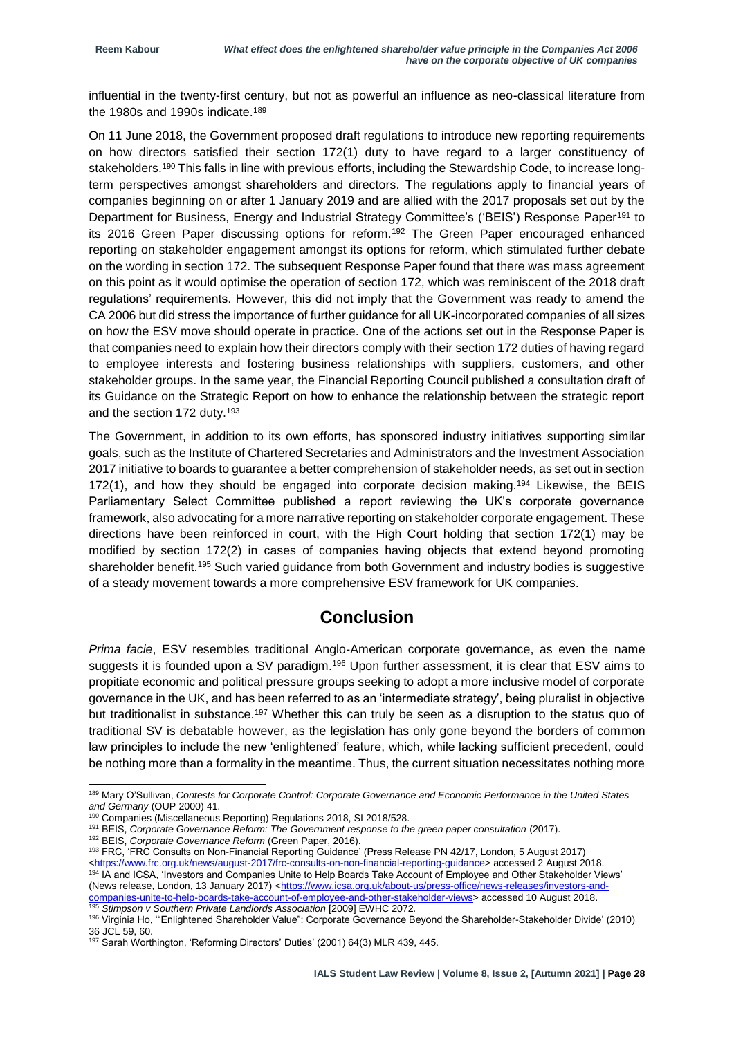influential in the twenty-first century, but not as powerful an influence as neo-classical literature from the 1980s and 1990s indicate.<sup>189</sup>

On 11 June 2018, the Government proposed draft regulations to introduce new reporting requirements on how directors satisfied their section 172(1) duty to have regard to a larger constituency of stakeholders.<sup>190</sup> This falls in line with previous efforts, including the Stewardship Code, to increase longterm perspectives amongst shareholders and directors. The regulations apply to financial years of companies beginning on or after 1 January 2019 and are allied with the 2017 proposals set out by the Department for Business, Energy and Industrial Strategy Committee's ('BEIS') Response Paper<sup>191</sup> to its 2016 Green Paper discussing options for reform.<sup>192</sup> The Green Paper encouraged enhanced reporting on stakeholder engagement amongst its options for reform, which stimulated further debate on the wording in section 172. The subsequent Response Paper found that there was mass agreement on this point as it would optimise the operation of section 172, which was reminiscent of the 2018 draft regulations' requirements. However, this did not imply that the Government was ready to amend the CA 2006 but did stress the importance of further guidance for all UK-incorporated companies of all sizes on how the ESV move should operate in practice. One of the actions set out in the Response Paper is that companies need to explain how their directors comply with their section 172 duties of having regard to employee interests and fostering business relationships with suppliers, customers, and other stakeholder groups. In the same year, the Financial Reporting Council published a consultation draft of its Guidance on the Strategic Report on how to enhance the relationship between the strategic report and the section 172 duty.<sup>193</sup>

The Government, in addition to its own efforts, has sponsored industry initiatives supporting similar goals, such as the Institute of Chartered Secretaries and Administrators and the Investment Association 2017 initiative to boards to guarantee a better comprehension of stakeholder needs, as set out in section 172(1), and how they should be engaged into corporate decision making.<sup>194</sup> Likewise, the BEIS Parliamentary Select Committee published a report reviewing the UK's corporate governance framework, also advocating for a more narrative reporting on stakeholder corporate engagement. These directions have been reinforced in court, with the High Court holding that section 172(1) may be modified by section 172(2) in cases of companies having objects that extend beyond promoting shareholder benefit.<sup>195</sup> Such varied guidance from both Government and industry bodies is suggestive of a steady movement towards a more comprehensive ESV framework for UK companies.

### **Conclusion**

*Prima facie*, ESV resembles traditional Anglo-American corporate governance, as even the name suggests it is founded upon a SV paradigm.<sup>196</sup> Upon further assessment, it is clear that ESV aims to propitiate economic and political pressure groups seeking to adopt a more inclusive model of corporate governance in the UK, and has been referred to as an 'intermediate strategy', being pluralist in objective but traditionalist in substance.<sup>197</sup> Whether this can truly be seen as a disruption to the status quo of traditional SV is debatable however, as the legislation has only gone beyond the borders of common law principles to include the new 'enlightened' feature, which, while lacking sufficient precedent, could be nothing more than a formality in the meantime. Thus, the current situation necessitates nothing more

<sup>189</sup> Mary O'Sullivan, *Contests for Corporate Control: Corporate Governance and Economic Performance in the United States and Germany* (OUP 2000) 41.

<sup>&</sup>lt;sup>190</sup> Companies (Miscellaneous Reporting) Regulations 2018, SI 2018/528.

<sup>191</sup> BEIS, *Corporate Governance Reform: The Government response to the green paper consultation (2017)*.

<sup>192</sup> BEIS, *Corporate Governance Reform* (Green Paper, 2016).

<sup>193</sup> FRC, 'FRC Consults on Non-Financial Reporting Guidance' (Press Release PN 42/17, London, 5 August 2017) [<https://www.frc.org.uk/news/august-2017/frc-consults-on-non-financial-reporting-guidance>](https://www.frc.org.uk/news/august-2017/frc-consults-on-non-financial-reporting-guidance) accessed 2 August 2018. <sup>194</sup> IA and ICSA, 'Investors and Companies Unite to Help Boards Take Account of Employee and Other Stakeholder Views'

<sup>(</sup>News release, London, 13 January 2017) [<https://www.icsa.org.uk/about-us/press-office/news-releases/investors-and](https://www.icsa.org.uk/about-us/press-office/news-releases/investors-and-companies-unite-to-help-boards-take-account-of-employee-and-other-stakeholder-views)[companies-unite-to-help-boards-take-account-of-employee-and-other-stakeholder-views>](https://www.icsa.org.uk/about-us/press-office/news-releases/investors-and-companies-unite-to-help-boards-take-account-of-employee-and-other-stakeholder-views) accessed 10 August 2018. <sup>195</sup> *Stimpson v Southern Private Landlords Association* [2009] EWHC 2072*.*

<sup>196</sup> Virginia Ho, '"Enlightened Shareholder Value": Corporate Governance Beyond the Shareholder-Stakeholder Divide' (2010) 36 JCL 59, 60.

<sup>197</sup> Sarah Worthington, 'Reforming Directors' Duties' (2001) 64(3) MLR 439, 445.